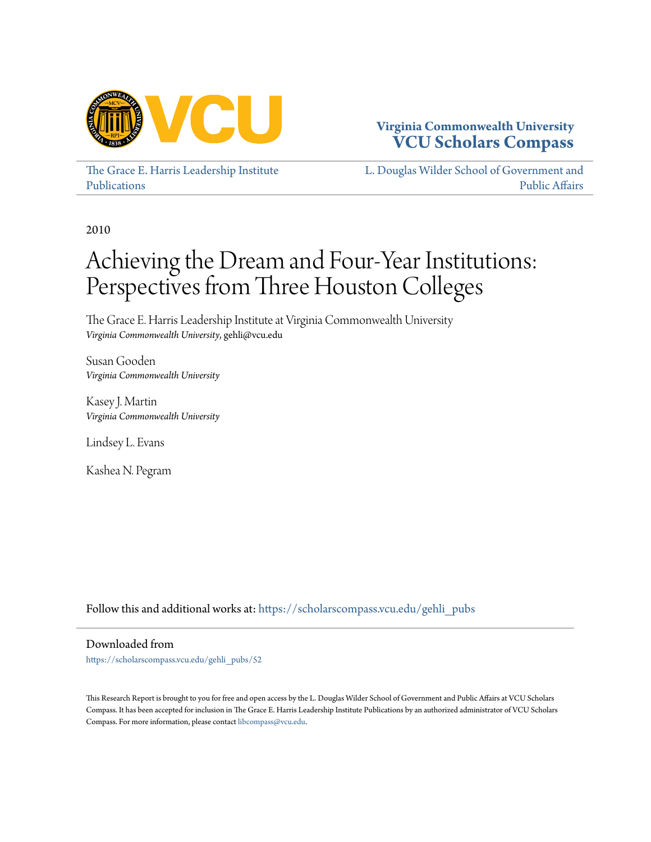

# **Virginia Commonwealth University [VCU Scholars Compass](https://scholarscompass.vcu.edu?utm_source=scholarscompass.vcu.edu%2Fgehli_pubs%2F52&utm_medium=PDF&utm_campaign=PDFCoverPages)**

[The Grace E. Harris Leadership Institute](https://scholarscompass.vcu.edu/gehli_pubs?utm_source=scholarscompass.vcu.edu%2Fgehli_pubs%2F52&utm_medium=PDF&utm_campaign=PDFCoverPages) [Publications](https://scholarscompass.vcu.edu/gehli_pubs?utm_source=scholarscompass.vcu.edu%2Fgehli_pubs%2F52&utm_medium=PDF&utm_campaign=PDFCoverPages)

[L. Douglas Wilder School of Government and](https://scholarscompass.vcu.edu/wilder?utm_source=scholarscompass.vcu.edu%2Fgehli_pubs%2F52&utm_medium=PDF&utm_campaign=PDFCoverPages) [Public Affairs](https://scholarscompass.vcu.edu/wilder?utm_source=scholarscompass.vcu.edu%2Fgehli_pubs%2F52&utm_medium=PDF&utm_campaign=PDFCoverPages)

2010

# Achieving the Dream and Four-Year Institutions: Perspectives from Three Houston Colleges

The Grace E. Harris Leadership Institute at Virginia Commonwealth University *Virginia Commonwealth University*, gehli@vcu.edu

Susan Gooden *Virginia Commonwealth University*

Kasey J. Martin *Virginia Commonwealth University*

Lindsey L. Evans

Kashea N. Pegram

Follow this and additional works at: [https://scholarscompass.vcu.edu/gehli\\_pubs](https://scholarscompass.vcu.edu/gehli_pubs?utm_source=scholarscompass.vcu.edu%2Fgehli_pubs%2F52&utm_medium=PDF&utm_campaign=PDFCoverPages)

Downloaded from

[https://scholarscompass.vcu.edu/gehli\\_pubs/52](https://scholarscompass.vcu.edu/gehli_pubs/52?utm_source=scholarscompass.vcu.edu%2Fgehli_pubs%2F52&utm_medium=PDF&utm_campaign=PDFCoverPages)

This Research Report is brought to you for free and open access by the L. Douglas Wilder School of Government and Public Affairs at VCU Scholars Compass. It has been accepted for inclusion in The Grace E. Harris Leadership Institute Publications by an authorized administrator of VCU Scholars Compass. For more information, please contact [libcompass@vcu.edu](mailto:libcompass@vcu.edu).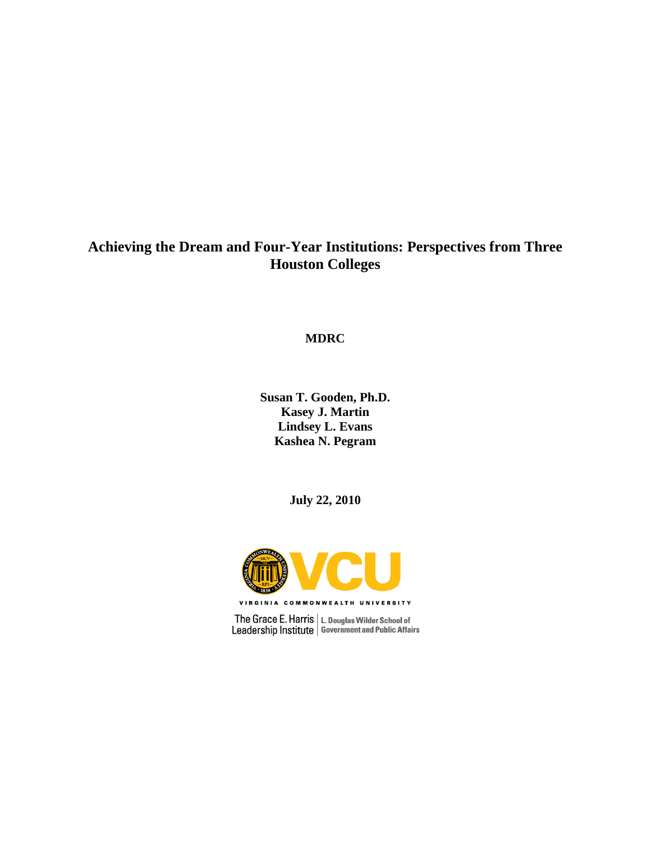# **Achieving the Dream and Four-Year Institutions: Perspectives from Three Houston Colleges**

**MDRC**

**Susan T. Gooden, Ph.D. Kasey J. Martin Lindsey L. Evans Kashea N. Pegram**

**July 22, 2010**



 $\begin{array}{c|c} \textbf{The Grace E. Harris} & L.\textbf{ Douglas Wilder School of} \\ \textbf{Leadership Institute} & \textbf{Government and Public Affairs} \end{array}$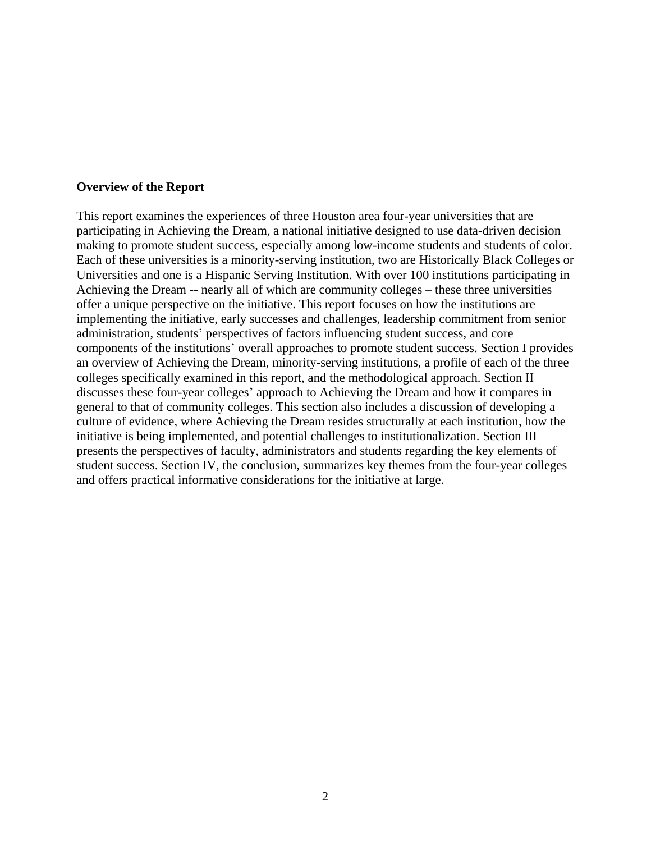#### **Overview of the Report**

This report examines the experiences of three Houston area four-year universities that are participating in Achieving the Dream, a national initiative designed to use data-driven decision making to promote student success, especially among low-income students and students of color. Each of these universities is a minority-serving institution, two are Historically Black Colleges or Universities and one is a Hispanic Serving Institution. With over 100 institutions participating in Achieving the Dream -- nearly all of which are community colleges – these three universities offer a unique perspective on the initiative. This report focuses on how the institutions are implementing the initiative, early successes and challenges, leadership commitment from senior administration, students' perspectives of factors influencing student success, and core components of the institutions' overall approaches to promote student success. Section I provides an overview of Achieving the Dream, minority-serving institutions, a profile of each of the three colleges specifically examined in this report, and the methodological approach. Section II discusses these four-year colleges' approach to Achieving the Dream and how it compares in general to that of community colleges. This section also includes a discussion of developing a culture of evidence, where Achieving the Dream resides structurally at each institution, how the initiative is being implemented, and potential challenges to institutionalization. Section III presents the perspectives of faculty, administrators and students regarding the key elements of student success. Section IV, the conclusion, summarizes key themes from the four-year colleges and offers practical informative considerations for the initiative at large.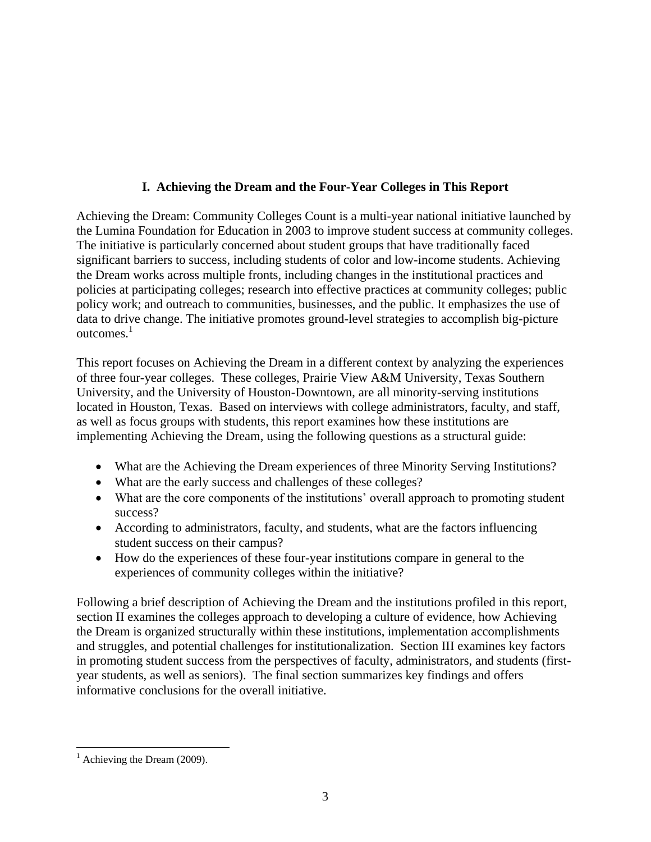# **I. Achieving the Dream and the Four-Year Colleges in This Report**

Achieving the Dream: Community Colleges Count is a multi-year national initiative launched by the Lumina Foundation for Education in 2003 to improve student success at community colleges. The initiative is particularly concerned about student groups that have traditionally faced significant barriers to success, including students of color and low-income students. Achieving the Dream works across multiple fronts, including changes in the institutional practices and policies at participating colleges; research into effective practices at community colleges; public policy work; and outreach to communities, businesses, and the public. It emphasizes the use of data to drive change. The initiative promotes ground-level strategies to accomplish big-picture outcomes. 1

This report focuses on Achieving the Dream in a different context by analyzing the experiences of three four-year colleges. These colleges, Prairie View A&M University, Texas Southern University, and the University of Houston-Downtown, are all minority-serving institutions located in Houston, Texas. Based on interviews with college administrators, faculty, and staff, as well as focus groups with students, this report examines how these institutions are implementing Achieving the Dream, using the following questions as a structural guide:

- What are the Achieving the Dream experiences of three Minority Serving Institutions?
- What are the early success and challenges of these colleges?
- What are the core components of the institutions' overall approach to promoting student success?
- According to administrators, faculty, and students, what are the factors influencing student success on their campus?
- How do the experiences of these four-year institutions compare in general to the experiences of community colleges within the initiative?

Following a brief description of Achieving the Dream and the institutions profiled in this report, section II examines the colleges approach to developing a culture of evidence, how Achieving the Dream is organized structurally within these institutions, implementation accomplishments and struggles, and potential challenges for institutionalization. Section III examines key factors in promoting student success from the perspectives of faculty, administrators, and students (firstyear students, as well as seniors). The final section summarizes key findings and offers informative conclusions for the overall initiative.

 $\overline{a}$  $<sup>1</sup>$  Achieving the Dream (2009).</sup>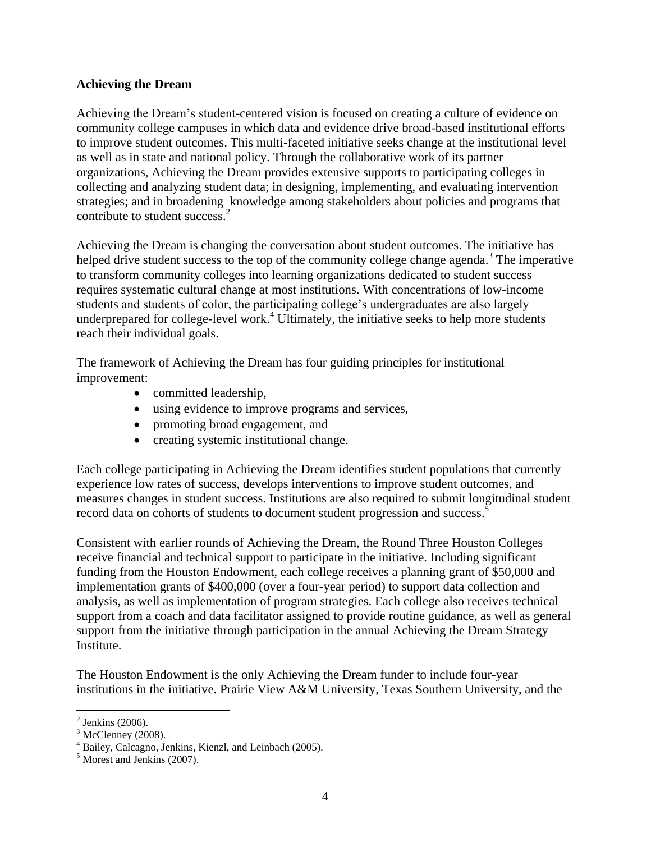#### **Achieving the Dream**

Achieving the Dream's student-centered vision is focused on creating a culture of evidence on community college campuses in which data and evidence drive broad-based institutional efforts to improve student outcomes. This multi-faceted initiative seeks change at the institutional level as well as in state and national policy. Through the collaborative work of its partner organizations, Achieving the Dream provides extensive supports to participating colleges in collecting and analyzing student data; in designing, implementing, and evaluating intervention strategies; and in broadening knowledge among stakeholders about policies and programs that contribute to student success. 2

Achieving the Dream is changing the conversation about student outcomes. The initiative has helped drive student success to the top of the community college change agenda.<sup>3</sup> The imperative to transform community colleges into learning organizations dedicated to student success requires systematic cultural change at most institutions. With concentrations of low-income students and students of color, the participating college's undergraduates are also largely underprepared for college-level work. <sup>4</sup> Ultimately, the initiative seeks to help more students reach their individual goals.

The framework of Achieving the Dream has four guiding principles for institutional improvement:

- committed leadership,
- using evidence to improve programs and services,
- promoting broad engagement, and
- creating systemic institutional change.

Each college participating in Achieving the Dream identifies student populations that currently experience low rates of success, develops interventions to improve student outcomes, and measures changes in student success. Institutions are also required to submit longitudinal student record data on cohorts of students to document student progression and success.<sup>5</sup>

Consistent with earlier rounds of Achieving the Dream, the Round Three Houston Colleges receive financial and technical support to participate in the initiative. Including significant funding from the Houston Endowment, each college receives a planning grant of \$50,000 and implementation grants of \$400,000 (over a four-year period) to support data collection and analysis, as well as implementation of program strategies. Each college also receives technical support from a coach and data facilitator assigned to provide routine guidance, as well as general support from the initiative through participation in the annual Achieving the Dream Strategy Institute.

The Houston Endowment is the only Achieving the Dream funder to include four-year institutions in the initiative. Prairie View A&M University, Texas Southern University, and the

 $\overline{a}$ 

 $2$  Jenkins (2006).

 $3 \text{ McClenney } (2008)$ .

<sup>4</sup> Bailey, Calcagno, Jenkins, Kienzl, and Leinbach (2005).

<sup>5</sup> Morest and Jenkins (2007).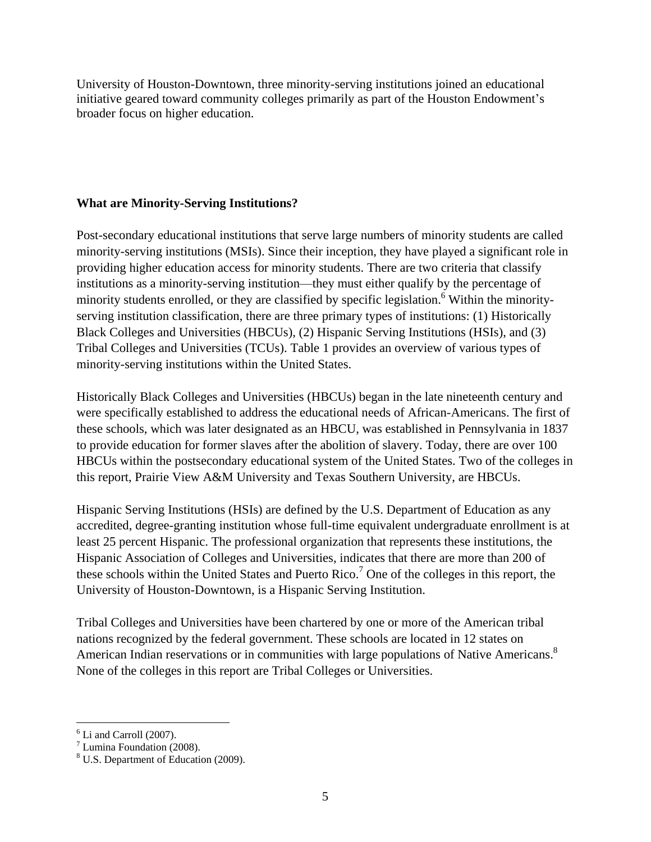University of Houston-Downtown, three minority-serving institutions joined an educational initiative geared toward community colleges primarily as part of the Houston Endowment's broader focus on higher education.

## **What are Minority-Serving Institutions?**

Post-secondary educational institutions that serve large numbers of minority students are called minority-serving institutions (MSIs). Since their inception, they have played a significant role in providing higher education access for minority students. There are two criteria that classify institutions as a minority-serving institution—they must either qualify by the percentage of minority students enrolled, or they are classified by specific legislation.<sup>6</sup> Within the minorityserving institution classification, there are three primary types of institutions: (1) Historically Black Colleges and Universities (HBCUs), (2) Hispanic Serving Institutions (HSIs), and (3) Tribal Colleges and Universities (TCUs). Table 1 provides an overview of various types of minority-serving institutions within the United States.

Historically Black Colleges and Universities (HBCUs) began in the late nineteenth century and were specifically established to address the educational needs of African-Americans. The first of these schools, which was later designated as an HBCU, was established in Pennsylvania in 1837 to provide education for former slaves after the abolition of slavery. Today, there are over 100 HBCUs within the postsecondary educational system of the United States. Two of the colleges in this report, Prairie View A&M University and Texas Southern University, are HBCUs.

Hispanic Serving Institutions (HSIs) are defined by the U.S. Department of Education as any accredited, degree-granting institution whose full-time equivalent undergraduate enrollment is at least 25 percent Hispanic. The professional organization that represents these institutions, the Hispanic Association of Colleges and Universities, indicates that there are more than 200 of these schools within the United States and Puerto Rico.<sup>7</sup> One of the colleges in this report, the University of Houston-Downtown, is a Hispanic Serving Institution.

Tribal Colleges and Universities have been chartered by one or more of the American tribal nations recognized by the federal government. These schools are located in 12 states on American Indian reservations or in communities with large populations of Native Americans.<sup>8</sup> None of the colleges in this report are Tribal Colleges or Universities.

 $\overline{a}$ 

 $<sup>6</sup>$  Li and Carroll (2007).</sup>

 $\frac{7}{1}$  Lumina Foundation (2008).

<sup>8</sup> U.S. Department of Education (2009).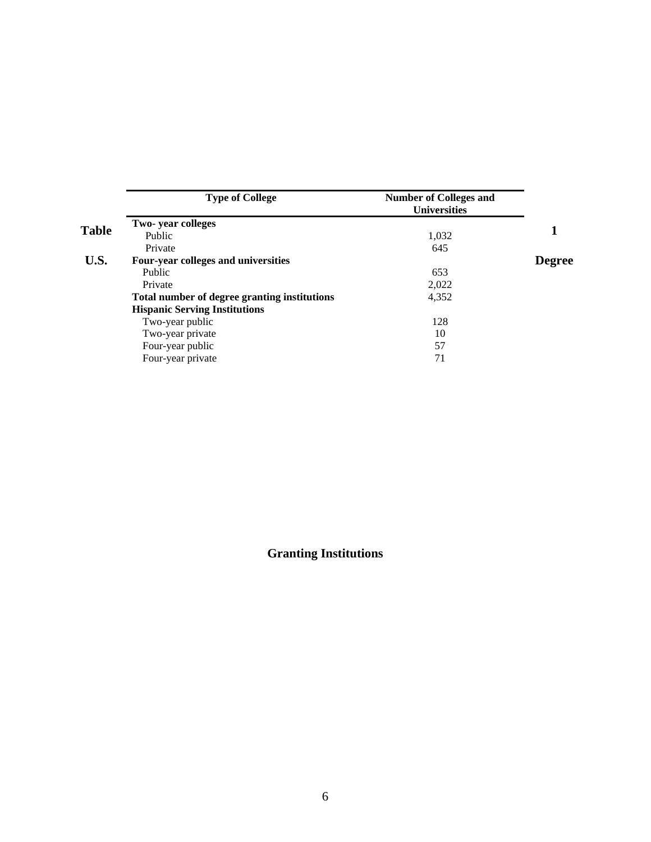| <b>Type of College</b>                       | <b>Number of Colleges and</b><br><b>Universities</b> |               |
|----------------------------------------------|------------------------------------------------------|---------------|
| Two-year colleges                            |                                                      |               |
| Public                                       | 1,032                                                |               |
| Private                                      | 645                                                  |               |
| Four-year colleges and universities          |                                                      | <b>Degree</b> |
| Public                                       | 653                                                  |               |
| Private                                      | 2,022                                                |               |
| Total number of degree granting institutions | 4,352                                                |               |
| <b>Hispanic Serving Institutions</b>         |                                                      |               |
| Two-year public                              | 128                                                  |               |
| Two-year private                             | 10                                                   |               |
| Four-year public                             | 57                                                   |               |
| Four-year private                            | 71                                                   |               |

**Granting Institutions**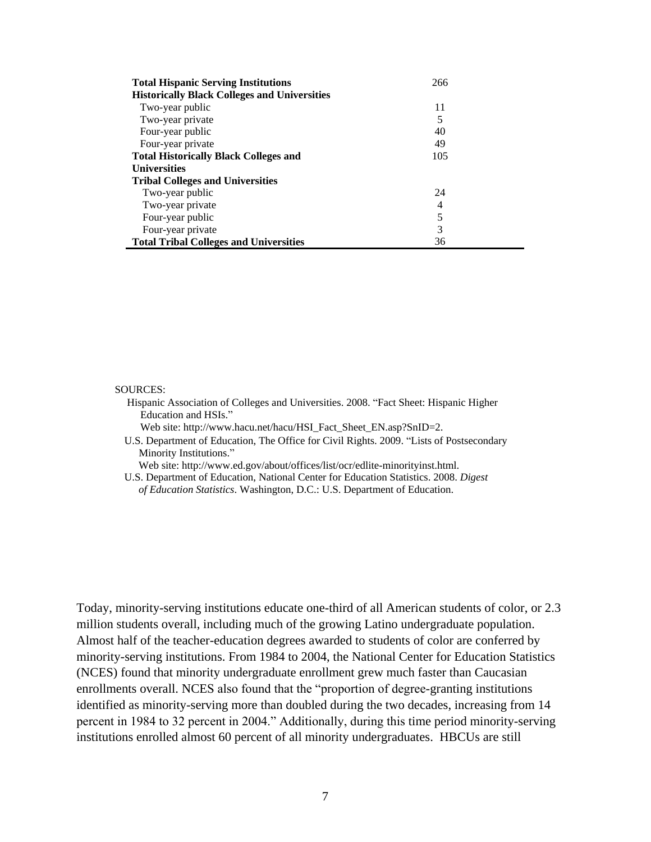| <b>Total Hispanic Serving Institutions</b>          | 266 |
|-----------------------------------------------------|-----|
| <b>Historically Black Colleges and Universities</b> |     |
| Two-year public                                     | 11  |
| Two-year private                                    | 5   |
| Four-year public                                    | 40  |
| Four-year private                                   | 49  |
| <b>Total Historically Black Colleges and</b>        | 105 |
| <b>Universities</b>                                 |     |
| <b>Tribal Colleges and Universities</b>             |     |
| Two-year public                                     | 24  |
| Two-year private                                    | 4   |
| Four-year public                                    | 5   |
| Four-year private                                   | 3   |
| <b>Total Tribal Colleges and Universities</b>       | 36  |

#### SOURCES:

 Hispanic Association of Colleges and Universities. 2008. "Fact Sheet: Hispanic Higher Education and HSIs."

Web site: http://www.hacu.net/hacu/HSI\_Fact\_Sheet\_EN.asp?SnID=2.

 U.S. Department of Education, The Office for Civil Rights. 2009. "Lists of Postsecondary Minority Institutions."

Web site: http://www.ed.gov/about/offices/list/ocr/edlite-minorityinst.html.

 U.S. Department of Education, National Center for Education Statistics. 2008. *Digest of Education Statistics*. Washington, D.C.: U.S. Department of Education.

Today, minority-serving institutions educate one-third of all American students of color, or 2.3 million students overall, including much of the growing Latino undergraduate population. Almost half of the teacher-education degrees awarded to students of color are conferred by minority-serving institutions. From 1984 to 2004, the National Center for Education Statistics (NCES) found that minority undergraduate enrollment grew much faster than Caucasian enrollments overall. NCES also found that the "proportion of degree-granting institutions identified as minority-serving more than doubled during the two decades, increasing from 14 percent in 1984 to 32 percent in 2004." Additionally, during this time period minority-serving institutions enrolled almost 60 percent of all minority undergraduates. HBCUs are still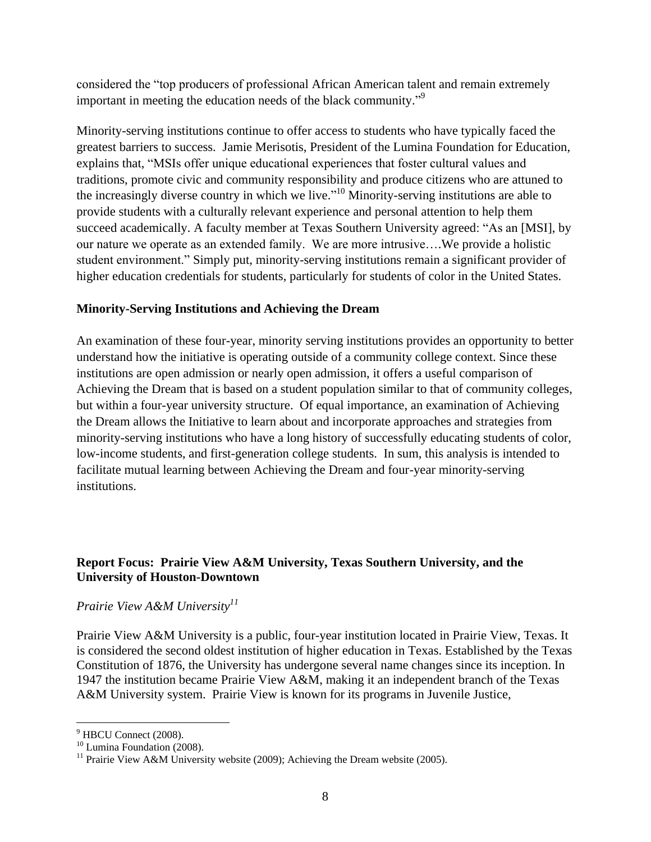considered the "top producers of professional African American talent and remain extremely important in meeting the education needs of the black community."<sup>9</sup>

Minority-serving institutions continue to offer access to students who have typically faced the greatest barriers to success. Jamie Merisotis, President of the Lumina Foundation for Education, explains that, "MSIs offer unique educational experiences that foster cultural values and traditions, promote civic and community responsibility and produce citizens who are attuned to the increasingly diverse country in which we live."<sup>10</sup> Minority-serving institutions are able to provide students with a culturally relevant experience and personal attention to help them succeed academically. A faculty member at Texas Southern University agreed: "As an [MSI], by our nature we operate as an extended family. We are more intrusive….We provide a holistic student environment." Simply put, minority-serving institutions remain a significant provider of higher education credentials for students, particularly for students of color in the United States.

#### **Minority-Serving Institutions and Achieving the Dream**

An examination of these four-year, minority serving institutions provides an opportunity to better understand how the initiative is operating outside of a community college context. Since these institutions are open admission or nearly open admission, it offers a useful comparison of Achieving the Dream that is based on a student population similar to that of community colleges, but within a four-year university structure. Of equal importance, an examination of Achieving the Dream allows the Initiative to learn about and incorporate approaches and strategies from minority-serving institutions who have a long history of successfully educating students of color, low-income students, and first-generation college students. In sum, this analysis is intended to facilitate mutual learning between Achieving the Dream and four-year minority-serving institutions.

## **Report Focus: Prairie View A&M University, Texas Southern University, and the University of Houston-Downtown**

## *Prairie View A&M University<sup>11</sup>*

Prairie View A&M University is a public, four-year institution located in Prairie View, Texas. It is considered the second oldest institution of higher education in Texas. Established by the Texas Constitution of 1876, the University has undergone several name changes since its inception. In 1947 the institution became Prairie View A&M, making it an independent branch of the Texas A&M University system. Prairie View is known for its programs in Juvenile Justice,

 $\overline{a}$ 

<sup>&</sup>lt;sup>9</sup> HBCU Connect (2008).

<sup>&</sup>lt;sup>10</sup> Lumina Foundation (2008).

<sup>&</sup>lt;sup>11</sup> Prairie View A&M University website (2009); Achieving the Dream website (2005).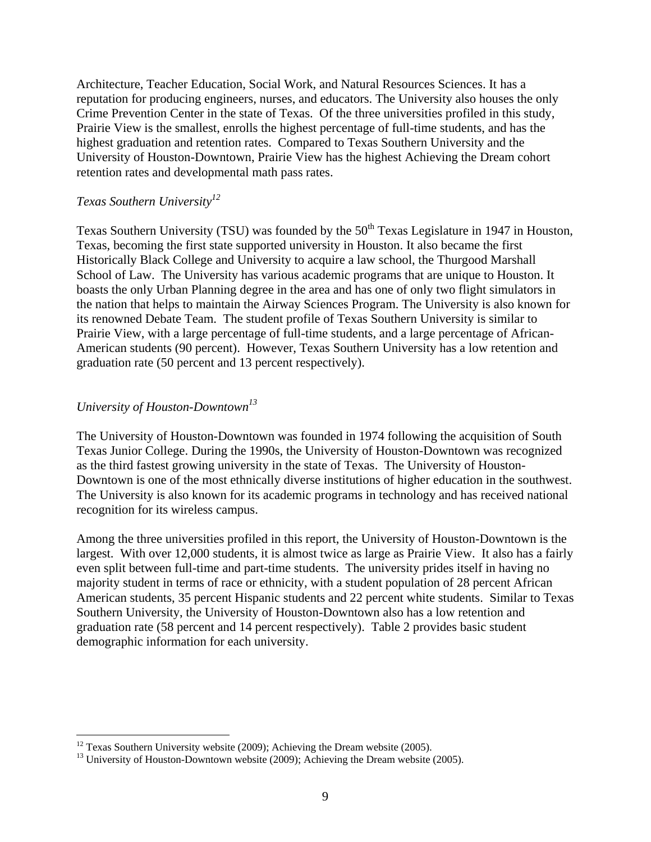Architecture, Teacher Education, Social Work, and Natural Resources Sciences. It has a reputation for producing engineers, nurses, and educators. The University also houses the only Crime Prevention Center in the state of Texas. Of the three universities profiled in this study, Prairie View is the smallest, enrolls the highest percentage of full-time students, and has the highest graduation and retention rates. Compared to Texas Southern University and the University of Houston-Downtown, Prairie View has the highest Achieving the Dream cohort retention rates and developmental math pass rates.

#### *Texas Southern University<sup>12</sup>*

Texas Southern University (TSU) was founded by the 50<sup>th</sup> Texas Legislature in 1947 in Houston, Texas, becoming the first state supported university in Houston. It also became the first Historically Black College and University to acquire a law school, the Thurgood Marshall School of Law. The University has various academic programs that are unique to Houston. It boasts the only Urban Planning degree in the area and has one of only two flight simulators in the nation that helps to maintain the Airway Sciences Program. The University is also known for its renowned Debate Team. The student profile of Texas Southern University is similar to Prairie View, with a large percentage of full-time students, and a large percentage of African-American students (90 percent). However, Texas Southern University has a low retention and graduation rate (50 percent and 13 percent respectively).

## *University of Houston-Downtown<sup>13</sup>*

 $\overline{a}$ 

The University of Houston-Downtown was founded in 1974 following the acquisition of South Texas Junior College. During the 1990s, the University of Houston-Downtown was recognized as the third fastest growing university in the state of Texas. The University of Houston-Downtown is one of the most ethnically diverse institutions of higher education in the southwest. The University is also known for its academic programs in technology and has received national recognition for its wireless campus.

Among the three universities profiled in this report, the University of Houston-Downtown is the largest. With over 12,000 students, it is almost twice as large as Prairie View. It also has a fairly even split between full-time and part-time students. The university prides itself in having no majority student in terms of race or ethnicity, with a student population of 28 percent African American students, 35 percent Hispanic students and 22 percent white students. Similar to Texas Southern University, the University of Houston-Downtown also has a low retention and graduation rate (58 percent and 14 percent respectively). Table 2 provides basic student demographic information for each university.

 $12$  Texas Southern University website (2009); Achieving the Dream website (2005).

 $13$  University of Houston-Downtown website (2009); Achieving the Dream website (2005).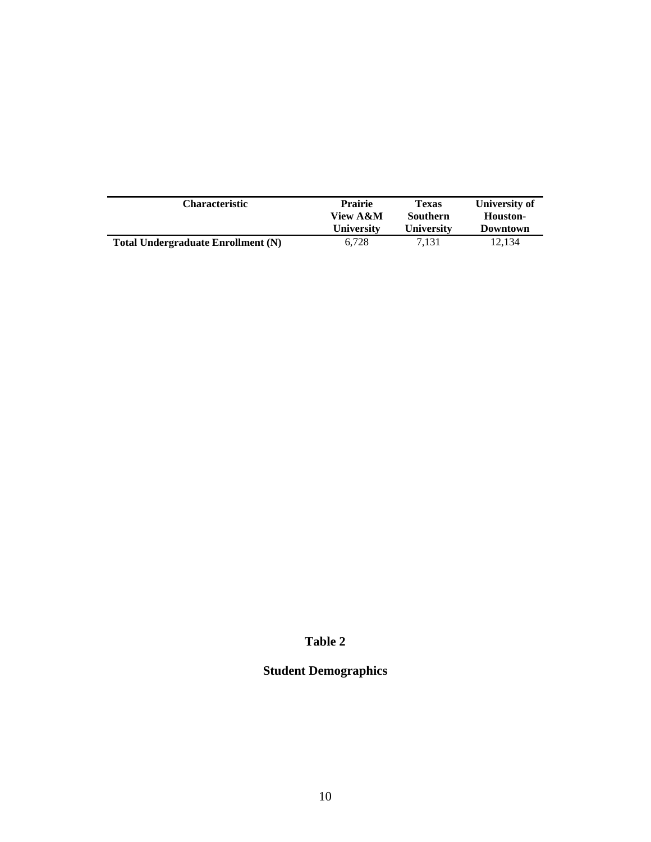| <b>Characteristic</b>              | <b>Prairie</b>    | Texas             | University of |
|------------------------------------|-------------------|-------------------|---------------|
|                                    | View A&M          | Southern          | Houston-      |
|                                    | <b>University</b> | <b>University</b> | Downtown      |
| Total Undergraduate Enrollment (N) | 6.728             | 7.131             | 12.134        |

## **Table 2**

# **Student Demographics**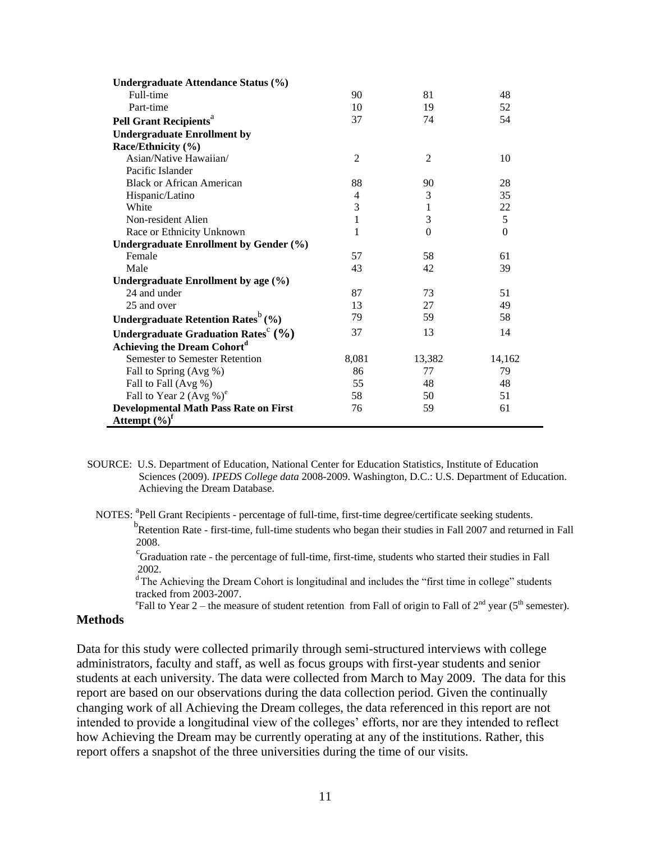| Undergraduate Attendance Status (%)                         |                |                |          |
|-------------------------------------------------------------|----------------|----------------|----------|
| Full-time                                                   | 90             | 81             | 48       |
| Part-time                                                   | 10             | 19             | 52       |
| <b>Pell Grant Recipients</b> <sup>a</sup>                   | 37             | 74             | 54       |
| <b>Undergraduate Enrollment by</b>                          |                |                |          |
| Race/Ethnicity (%)                                          |                |                |          |
| Asian/Native Hawaiian/                                      | $\overline{2}$ | $\overline{2}$ | 10       |
| Pacific Islander                                            |                |                |          |
| <b>Black or African American</b>                            | 88             | 90             | 28       |
| Hispanic/Latino                                             | 4              | 3              | 35       |
| White                                                       | 3              | 1              | 22       |
| Non-resident Alien                                          | 1              | 3              | 5        |
| Race or Ethnicity Unknown                                   | 1              | $\theta$       | $\Omega$ |
| Undergraduate Enrollment by Gender (%)                      |                |                |          |
| Female                                                      | 57             | 58             | 61       |
| Male                                                        | 43             | 42             | 39       |
| Undergraduate Enrollment by age (%)                         |                |                |          |
| 24 and under                                                | 87             | 73             | 51       |
| 25 and over                                                 | 13             | 27             | 49       |
| Undergraduate Retention Rates <sup>b</sup> (%)              | 79             | 59             | 58       |
| Undergraduate Graduation Rates <sup>c</sup> $(\frac{9}{6})$ | 37             | 13             | 14       |
| Achieving the Dream Cohort <sup>d</sup>                     |                |                |          |
| <b>Semester to Semester Retention</b>                       | 8,081          | 13,382         | 14,162   |
| Fall to Spring (Avg %)                                      | 86             | 77             | 79       |
| Fall to Fall (Avg %)                                        | 55             | 48             | 48       |
| Fall to Year 2 (Avg %) <sup>e</sup>                         | 58             | 50             | 51       |
| <b>Developmental Math Pass Rate on First</b>                | 76             | 59             | 61       |
| Attempt $(\%)^f$                                            |                |                |          |

- SOURCE: U.S. Department of Education, National Center for Education Statistics, Institute of Education Sciences (2009). *IPEDS College data* 2008-2009. Washington, D.C.: U.S. Department of Education. Achieving the Dream Database.
	- NOTES: <sup>a</sup>Pell Grant Recipients percentage of full-time, first-time degree/certificate seeking students. <sup>b</sup>Retention Rate - first-time, full-time students who began their studies in Fall 2007 and returned in Fall 2008.

<sup>c</sup>Graduation rate - the percentage of full-time, first-time, students who started their studies in Fall 2002.

<sup>d</sup> The Achieving the Dream Cohort is longitudinal and includes the "first time in college" students tracked from 2003-2007.

<sup>e</sup>Fall to Year 2 – the measure of student retention from Fall of origin to Fall of  $2<sup>nd</sup>$  year (5<sup>th</sup> semester).

#### **Methods**

Data for this study were collected primarily through semi-structured interviews with college administrators, faculty and staff, as well as focus groups with first-year students and senior students at each university. The data were collected from March to May 2009. The data for this report are based on our observations during the data collection period. Given the continually changing work of all Achieving the Dream colleges, the data referenced in this report are not intended to provide a longitudinal view of the colleges' efforts, nor are they intended to reflect how Achieving the Dream may be currently operating at any of the institutions. Rather, this report offers a snapshot of the three universities during the time of our visits.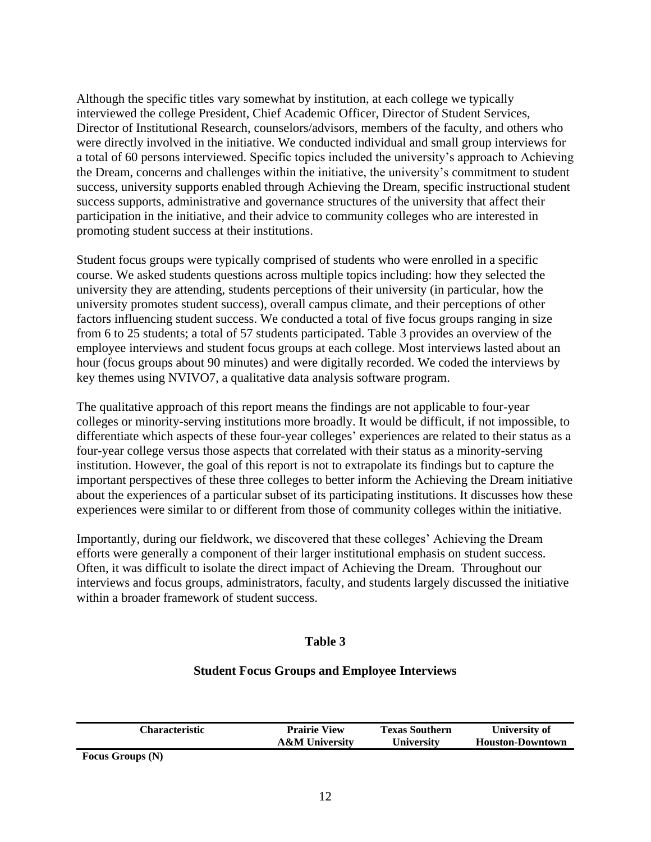Although the specific titles vary somewhat by institution, at each college we typically interviewed the college President, Chief Academic Officer, Director of Student Services, Director of Institutional Research, counselors/advisors, members of the faculty, and others who were directly involved in the initiative. We conducted individual and small group interviews for a total of 60 persons interviewed. Specific topics included the university's approach to Achieving the Dream, concerns and challenges within the initiative, the university's commitment to student success, university supports enabled through Achieving the Dream, specific instructional student success supports, administrative and governance structures of the university that affect their participation in the initiative, and their advice to community colleges who are interested in promoting student success at their institutions.

Student focus groups were typically comprised of students who were enrolled in a specific course. We asked students questions across multiple topics including: how they selected the university they are attending, students perceptions of their university (in particular, how the university promotes student success), overall campus climate, and their perceptions of other factors influencing student success. We conducted a total of five focus groups ranging in size from 6 to 25 students; a total of 57 students participated. Table 3 provides an overview of the employee interviews and student focus groups at each college. Most interviews lasted about an hour (focus groups about 90 minutes) and were digitally recorded. We coded the interviews by key themes using NVIVO7, a qualitative data analysis software program.

The qualitative approach of this report means the findings are not applicable to four-year colleges or minority-serving institutions more broadly. It would be difficult, if not impossible, to differentiate which aspects of these four-year colleges' experiences are related to their status as a four-year college versus those aspects that correlated with their status as a minority-serving institution. However, the goal of this report is not to extrapolate its findings but to capture the important perspectives of these three colleges to better inform the Achieving the Dream initiative about the experiences of a particular subset of its participating institutions. It discusses how these experiences were similar to or different from those of community colleges within the initiative.

Importantly, during our fieldwork, we discovered that these colleges' Achieving the Dream efforts were generally a component of their larger institutional emphasis on student success. Often, it was difficult to isolate the direct impact of Achieving the Dream. Throughout our interviews and focus groups, administrators, faculty, and students largely discussed the initiative within a broader framework of student success.

## **Table 3**

#### **Student Focus Groups and Employee Interviews**

| Characteristic          | <b>Prairie View</b>       | <b>Texas Southern</b> | University of           |
|-------------------------|---------------------------|-----------------------|-------------------------|
|                         | <b>A&amp;M</b> University | <b>University</b>     | <b>Houston-Downtown</b> |
| <b>Focus Groups (N)</b> |                           |                       |                         |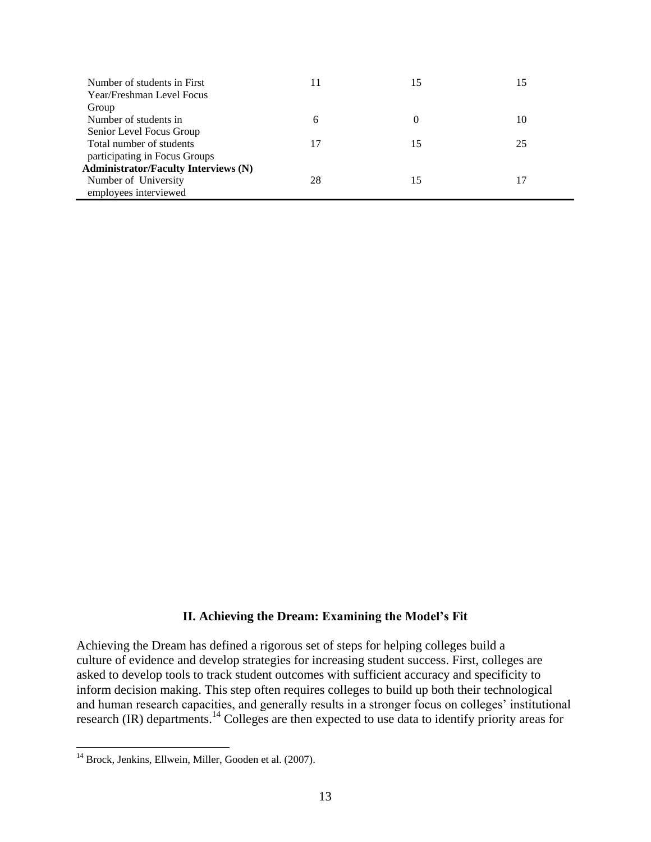| Number of students in First                 | 11 | 15       | 15 |
|---------------------------------------------|----|----------|----|
| Year/Freshman Level Focus                   |    |          |    |
| Group                                       |    |          |    |
| Number of students in                       | 6  | $\theta$ | 10 |
| Senior Level Focus Group                    |    |          |    |
| Total number of students                    | 17 | 15       | 25 |
| participating in Focus Groups               |    |          |    |
| <b>Administrator/Faculty Interviews (N)</b> |    |          |    |
| Number of University                        | 28 |          |    |
| employees interviewed                       |    |          |    |

#### **II. Achieving the Dream: Examining the Model's Fit**

Achieving the Dream has defined a rigorous set of steps for helping colleges build a culture of evidence and develop strategies for increasing student success. First, colleges are asked to develop tools to track student outcomes with sufficient accuracy and specificity to inform decision making. This step often requires colleges to build up both their technological and human research capacities, and generally results in a stronger focus on colleges' institutional research (IR) departments.<sup>14</sup> Colleges are then expected to use data to identify priority areas for

 $\overline{a}$ 

<sup>&</sup>lt;sup>14</sup> Brock, Jenkins, Ellwein, Miller, Gooden et al. (2007).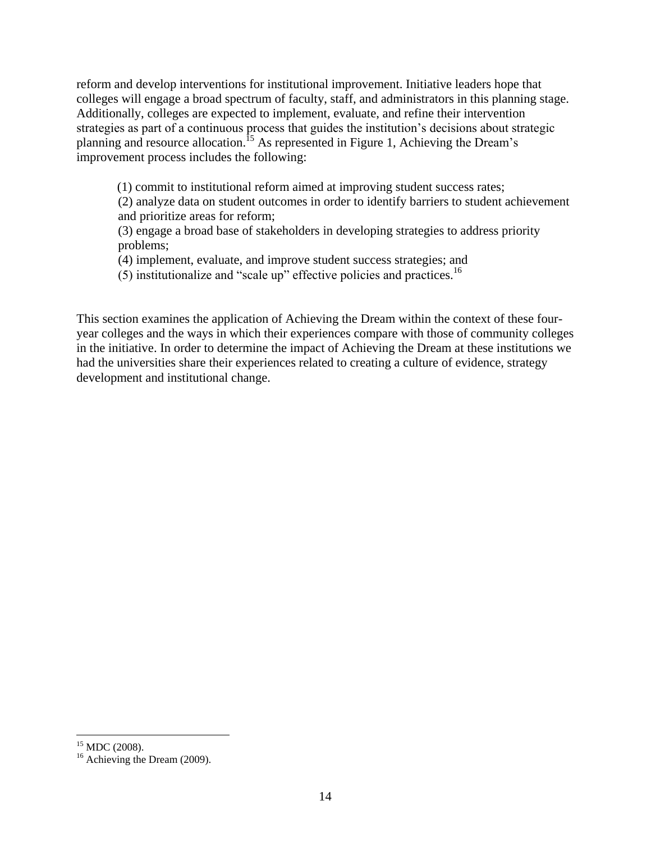reform and develop interventions for institutional improvement. Initiative leaders hope that colleges will engage a broad spectrum of faculty, staff, and administrators in this planning stage. Additionally, colleges are expected to implement, evaluate, and refine their intervention strategies as part of a continuous process that guides the institution's decisions about strategic planning and resource allocation.<sup>15</sup> As represented in Figure 1, Achieving the Dream's improvement process includes the following:

(1) commit to institutional reform aimed at improving student success rates;

(2) analyze data on student outcomes in order to identify barriers to student achievement and prioritize areas for reform;

(3) engage a broad base of stakeholders in developing strategies to address priority problems;

(4) implement, evaluate, and improve student success strategies; and

 $(5)$  institutionalize and "scale up" effective policies and practices.<sup>16</sup>

This section examines the application of Achieving the Dream within the context of these fouryear colleges and the ways in which their experiences compare with those of community colleges in the initiative. In order to determine the impact of Achieving the Dream at these institutions we had the universities share their experiences related to creating a culture of evidence, strategy development and institutional change.

 $\overline{a}$ 

 $15$  MDC (2008).

<sup>&</sup>lt;sup>16</sup> Achieving the Dream (2009).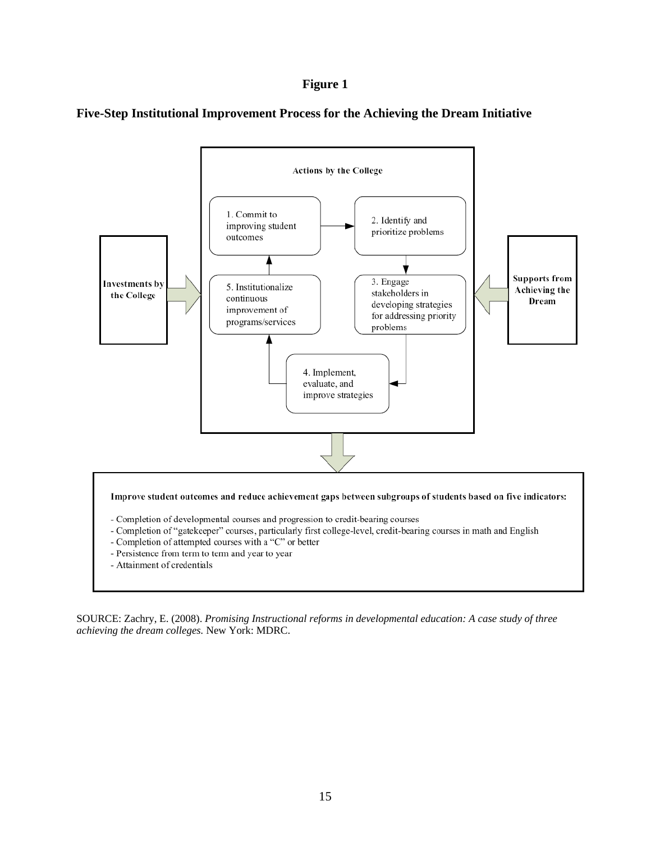#### **Figure 1**

**Five-Step Institutional Improvement Process for the Achieving the Dream Initiative**



SOURCE: Zachry, E. (2008). *Promising Instructional reforms in developmental education: A case study of three achieving the dream colleges.* New York: MDRC.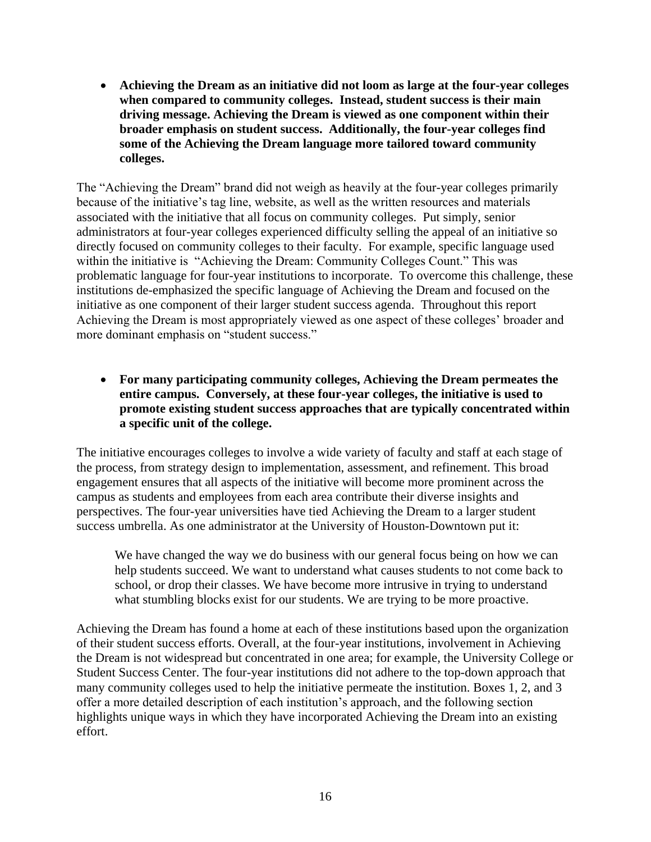**Achieving the Dream as an initiative did not loom as large at the four-year colleges when compared to community colleges. Instead, student success is their main driving message. Achieving the Dream is viewed as one component within their broader emphasis on student success. Additionally, the four-year colleges find some of the Achieving the Dream language more tailored toward community colleges.**

The "Achieving the Dream" brand did not weigh as heavily at the four-year colleges primarily because of the initiative's tag line, website, as well as the written resources and materials associated with the initiative that all focus on community colleges. Put simply, senior administrators at four-year colleges experienced difficulty selling the appeal of an initiative so directly focused on community colleges to their faculty. For example, specific language used within the initiative is "Achieving the Dream: Community Colleges Count." This was problematic language for four-year institutions to incorporate. To overcome this challenge, these institutions de-emphasized the specific language of Achieving the Dream and focused on the initiative as one component of their larger student success agenda. Throughout this report Achieving the Dream is most appropriately viewed as one aspect of these colleges' broader and more dominant emphasis on "student success."

 **For many participating community colleges, Achieving the Dream permeates the entire campus. Conversely, at these four-year colleges, the initiative is used to promote existing student success approaches that are typically concentrated within a specific unit of the college.** 

The initiative encourages colleges to involve a wide variety of faculty and staff at each stage of the process, from strategy design to implementation, assessment, and refinement. This broad engagement ensures that all aspects of the initiative will become more prominent across the campus as students and employees from each area contribute their diverse insights and perspectives. The four-year universities have tied Achieving the Dream to a larger student success umbrella. As one administrator at the University of Houston-Downtown put it:

We have changed the way we do business with our general focus being on how we can help students succeed. We want to understand what causes students to not come back to school, or drop their classes. We have become more intrusive in trying to understand what stumbling blocks exist for our students. We are trying to be more proactive.

Achieving the Dream has found a home at each of these institutions based upon the organization of their student success efforts. Overall, at the four-year institutions, involvement in Achieving the Dream is not widespread but concentrated in one area; for example, the University College or Student Success Center. The four-year institutions did not adhere to the top-down approach that many community colleges used to help the initiative permeate the institution. Boxes 1, 2, and 3 offer a more detailed description of each institution's approach, and the following section highlights unique ways in which they have incorporated Achieving the Dream into an existing effort.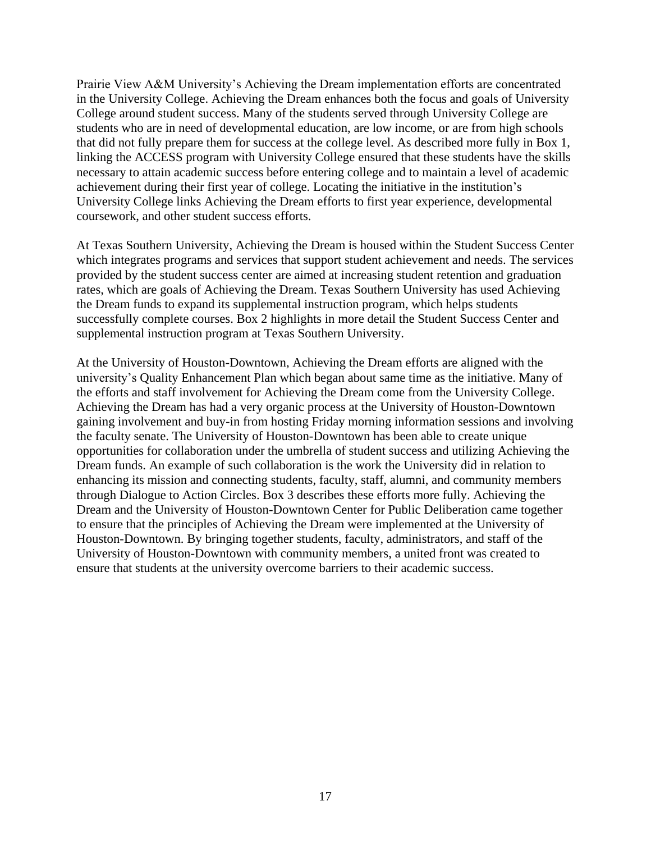Prairie View A&M University's Achieving the Dream implementation efforts are concentrated in the University College. Achieving the Dream enhances both the focus and goals of University College around student success. Many of the students served through University College are students who are in need of developmental education, are low income, or are from high schools that did not fully prepare them for success at the college level. As described more fully in Box 1, linking the ACCESS program with University College ensured that these students have the skills necessary to attain academic success before entering college and to maintain a level of academic achievement during their first year of college. Locating the initiative in the institution's University College links Achieving the Dream efforts to first year experience, developmental coursework, and other student success efforts.

At Texas Southern University, Achieving the Dream is housed within the Student Success Center which integrates programs and services that support student achievement and needs. The services provided by the student success center are aimed at increasing student retention and graduation rates, which are goals of Achieving the Dream. Texas Southern University has used Achieving the Dream funds to expand its supplemental instruction program, which helps students successfully complete courses. Box 2 highlights in more detail the Student Success Center and supplemental instruction program at Texas Southern University.

At the University of Houston-Downtown, Achieving the Dream efforts are aligned with the university's Quality Enhancement Plan which began about same time as the initiative. Many of the efforts and staff involvement for Achieving the Dream come from the University College. Achieving the Dream has had a very organic process at the University of Houston-Downtown gaining involvement and buy-in from hosting Friday morning information sessions and involving the faculty senate. The University of Houston-Downtown has been able to create unique opportunities for collaboration under the umbrella of student success and utilizing Achieving the Dream funds. An example of such collaboration is the work the University did in relation to enhancing its mission and connecting students, faculty, staff, alumni, and community members through Dialogue to Action Circles. Box 3 describes these efforts more fully. Achieving the Dream and the University of Houston-Downtown Center for Public Deliberation came together to ensure that the principles of Achieving the Dream were implemented at the University of Houston-Downtown. By bringing together students, faculty, administrators, and staff of the University of Houston-Downtown with community members, a united front was created to ensure that students at the university overcome barriers to their academic success.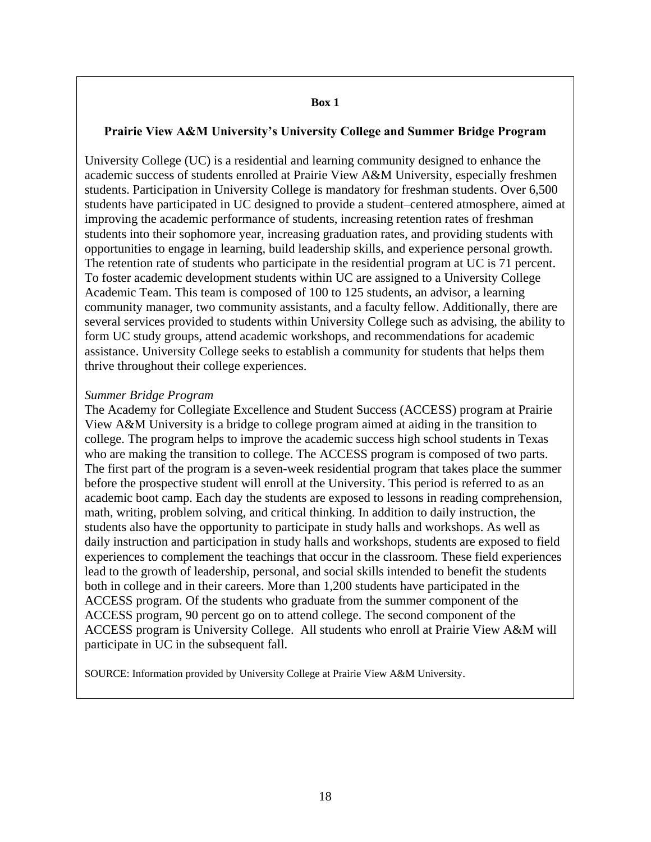#### **Prairie View A&M University's University College and Summer Bridge Program**

University College (UC) is a residential and learning community designed to enhance the academic success of students enrolled at Prairie View A&M University, especially freshmen students. Participation in University College is mandatory for freshman students. Over 6,500 students have participated in UC designed to provide a student–centered atmosphere, aimed at improving the academic performance of students, increasing retention rates of freshman students into their sophomore year, increasing graduation rates, and providing students with opportunities to engage in learning, build leadership skills, and experience personal growth. The retention rate of students who participate in the residential program at UC is 71 percent. To foster academic development students within UC are assigned to a University College Academic Team. This team is composed of 100 to 125 students, an advisor, a learning community manager, two community assistants, and a faculty fellow. Additionally, there are several services provided to students within University College such as advising, the ability to form UC study groups, attend academic workshops, and recommendations for academic assistance. University College seeks to establish a community for students that helps them thrive throughout their college experiences.

#### *Summer Bridge Program*

The Academy for Collegiate Excellence and Student Success (ACCESS) program at Prairie View A&M University is a bridge to college program aimed at aiding in the transition to college. The program helps to improve the academic success high school students in Texas who are making the transition to college. The ACCESS program is composed of two parts. The first part of the program is a seven-week residential program that takes place the summer before the prospective student will enroll at the University. This period is referred to as an academic boot camp. Each day the students are exposed to lessons in reading comprehension, math, writing, problem solving, and critical thinking. In addition to daily instruction, the students also have the opportunity to participate in study halls and workshops. As well as daily instruction and participation in study halls and workshops, students are exposed to field experiences to complement the teachings that occur in the classroom. These field experiences lead to the growth of leadership, personal, and social skills intended to benefit the students both in college and in their careers. More than 1,200 students have participated in the ACCESS program. Of the students who graduate from the summer component of the ACCESS program, 90 percent go on to attend college. The second component of the ACCESS program is University College. All students who enroll at Prairie View A&M will participate in UC in the subsequent fall.

SOURCE: Information provided by University College at Prairie View A&M University.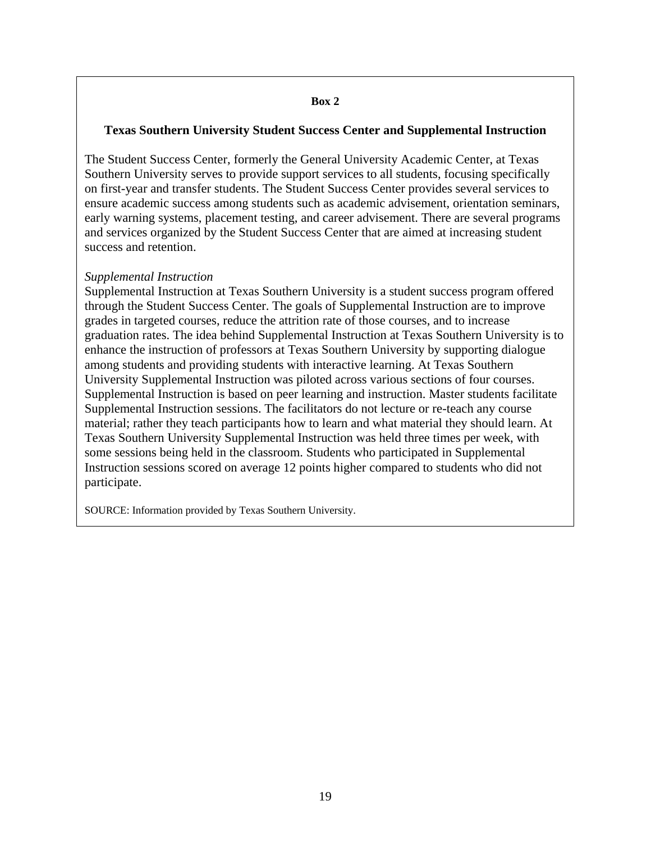#### **Box 2**

#### **Texas Southern University Student Success Center and Supplemental Instruction**

The Student Success Center, formerly the General University Academic Center, at Texas Southern University serves to provide support services to all students, focusing specifically on first-year and transfer students. The Student Success Center provides several services to ensure academic success among students such as academic advisement, orientation seminars, early warning systems, placement testing, and career advisement. There are several programs and services organized by the Student Success Center that are aimed at increasing student success and retention.

#### *Supplemental Instruction*

Supplemental Instruction at Texas Southern University is a student success program offered through the Student Success Center. The goals of Supplemental Instruction are to improve grades in targeted courses, reduce the attrition rate of those courses, and to increase graduation rates. The idea behind Supplemental Instruction at Texas Southern University is to enhance the instruction of professors at Texas Southern University by supporting dialogue among students and providing students with interactive learning. At Texas Southern University Supplemental Instruction was piloted across various sections of four courses. Supplemental Instruction is based on peer learning and instruction. Master students facilitate Supplemental Instruction sessions. The facilitators do not lecture or re-teach any course material; rather they teach participants how to learn and what material they should learn. At Texas Southern University Supplemental Instruction was held three times per week, with some sessions being held in the classroom. Students who participated in Supplemental Instruction sessions scored on average 12 points higher compared to students who did not participate.

SOURCE: Information provided by Texas Southern University.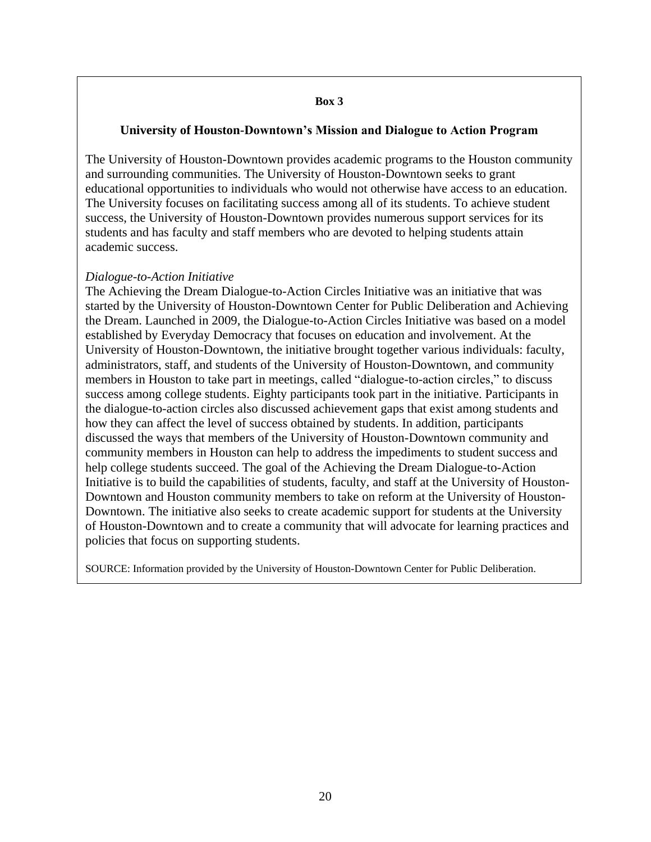#### **Box 3**

#### **University of Houston-Downtown's Mission and Dialogue to Action Program**

The University of Houston-Downtown provides academic programs to the Houston community and surrounding communities. The University of Houston-Downtown seeks to grant educational opportunities to individuals who would not otherwise have access to an education. The University focuses on facilitating success among all of its students. To achieve student success, the University of Houston-Downtown provides numerous support services for its students and has faculty and staff members who are devoted to helping students attain academic success.

#### *Dialogue-to-Action Initiative*

The Achieving the Dream Dialogue-to-Action Circles Initiative was an initiative that was started by the University of Houston-Downtown Center for Public Deliberation and Achieving the Dream. Launched in 2009, the Dialogue-to-Action Circles Initiative was based on a model established by Everyday Democracy that focuses on education and involvement. At the University of Houston-Downtown, the initiative brought together various individuals: faculty, administrators, staff, and students of the University of Houston-Downtown, and community members in Houston to take part in meetings, called "dialogue-to-action circles," to discuss success among college students. Eighty participants took part in the initiative. Participants in the dialogue-to-action circles also discussed achievement gaps that exist among students and how they can affect the level of success obtained by students. In addition, participants discussed the ways that members of the University of Houston-Downtown community and community members in Houston can help to address the impediments to student success and help college students succeed. The goal of the Achieving the Dream Dialogue-to-Action Initiative is to build the capabilities of students, faculty, and staff at the University of Houston-Downtown and Houston community members to take on reform at the University of Houston-Downtown. The initiative also seeks to create academic support for students at the University of Houston-Downtown and to create a community that will advocate for learning practices and policies that focus on supporting students.

SOURCE: Information provided by the University of Houston-Downtown Center for Public Deliberation.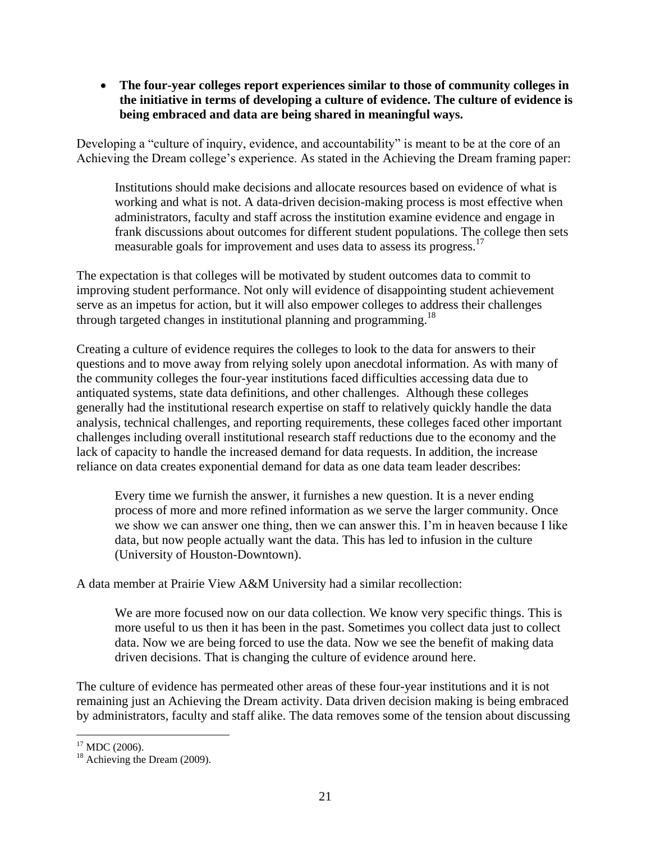**The four-year colleges report experiences similar to those of community colleges in the initiative in terms of developing a culture of evidence. The culture of evidence is being embraced and data are being shared in meaningful ways.**

Developing a "culture of inquiry, evidence, and accountability" is meant to be at the core of an Achieving the Dream college's experience. As stated in the Achieving the Dream framing paper:

Institutions should make decisions and allocate resources based on evidence of what is working and what is not. A data-driven decision-making process is most effective when administrators, faculty and staff across the institution examine evidence and engage in frank discussions about outcomes for different student populations. The college then sets measurable goals for improvement and uses data to assess its progress.<sup>17</sup>

The expectation is that colleges will be motivated by student outcomes data to commit to improving student performance. Not only will evidence of disappointing student achievement serve as an impetus for action, but it will also empower colleges to address their challenges through targeted changes in institutional planning and programming.<sup>18</sup>

Creating a culture of evidence requires the colleges to look to the data for answers to their questions and to move away from relying solely upon anecdotal information. As with many of the community colleges the four-year institutions faced difficulties accessing data due to antiquated systems, state data definitions, and other challenges. Although these colleges generally had the institutional research expertise on staff to relatively quickly handle the data analysis, technical challenges, and reporting requirements, these colleges faced other important challenges including overall institutional research staff reductions due to the economy and the lack of capacity to handle the increased demand for data requests. In addition, the increase reliance on data creates exponential demand for data as one data team leader describes:

Every time we furnish the answer, it furnishes a new question. It is a never ending process of more and more refined information as we serve the larger community. Once we show we can answer one thing, then we can answer this. I'm in heaven because I like data, but now people actually want the data. This has led to infusion in the culture (University of Houston-Downtown).

A data member at Prairie View A&M University had a similar recollection:

We are more focused now on our data collection. We know very specific things. This is more useful to us then it has been in the past. Sometimes you collect data just to collect data. Now we are being forced to use the data. Now we see the benefit of making data driven decisions. That is changing the culture of evidence around here.

The culture of evidence has permeated other areas of these four-year institutions and it is not remaining just an Achieving the Dream activity. Data driven decision making is being embraced by administrators, faculty and staff alike. The data removes some of the tension about discussing

 $\overline{a}$ 

 $17$  MDC (2006).

<sup>&</sup>lt;sup>18</sup> Achieving the Dream (2009).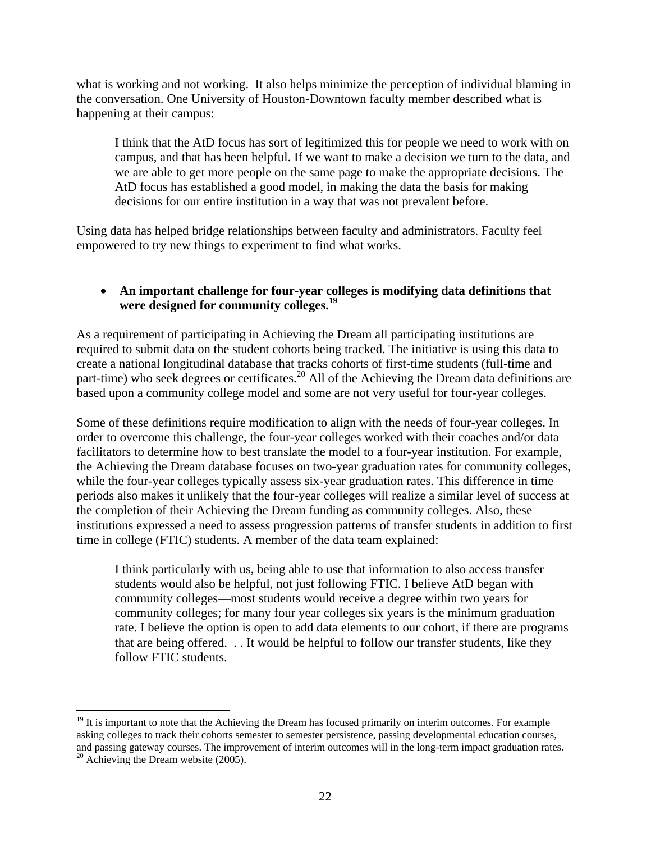what is working and not working. It also helps minimize the perception of individual blaming in the conversation. One University of Houston-Downtown faculty member described what is happening at their campus:

I think that the AtD focus has sort of legitimized this for people we need to work with on campus, and that has been helpful. If we want to make a decision we turn to the data, and we are able to get more people on the same page to make the appropriate decisions. The AtD focus has established a good model, in making the data the basis for making decisions for our entire institution in a way that was not prevalent before.

Using data has helped bridge relationships between faculty and administrators. Faculty feel empowered to try new things to experiment to find what works.

#### **An important challenge for four-year colleges is modifying data definitions that were designed for community colleges.<sup>19</sup>**

As a requirement of participating in Achieving the Dream all participating institutions are required to submit data on the student cohorts being tracked. The initiative is using this data to create a national longitudinal database that tracks cohorts of first-time students (full-time and part-time) who seek degrees or certificates.<sup>20</sup> All of the Achieving the Dream data definitions are based upon a community college model and some are not very useful for four-year colleges.

Some of these definitions require modification to align with the needs of four-year colleges. In order to overcome this challenge, the four-year colleges worked with their coaches and/or data facilitators to determine how to best translate the model to a four-year institution. For example, the Achieving the Dream database focuses on two-year graduation rates for community colleges, while the four-year colleges typically assess six-year graduation rates. This difference in time periods also makes it unlikely that the four-year colleges will realize a similar level of success at the completion of their Achieving the Dream funding as community colleges. Also, these institutions expressed a need to assess progression patterns of transfer students in addition to first time in college (FTIC) students. A member of the data team explained:

I think particularly with us, being able to use that information to also access transfer students would also be helpful, not just following FTIC. I believe AtD began with community colleges—most students would receive a degree within two years for community colleges; for many four year colleges six years is the minimum graduation rate. I believe the option is open to add data elements to our cohort, if there are programs that are being offered. . . It would be helpful to follow our transfer students, like they follow FTIC students.

 $\overline{a}$ 

 $19$  It is important to note that the Achieving the Dream has focused primarily on interim outcomes. For example asking colleges to track their cohorts semester to semester persistence, passing developmental education courses, and passing gateway courses. The improvement of interim outcomes will in the long-term impact graduation rates.  $20$  Achieving the Dream website (2005).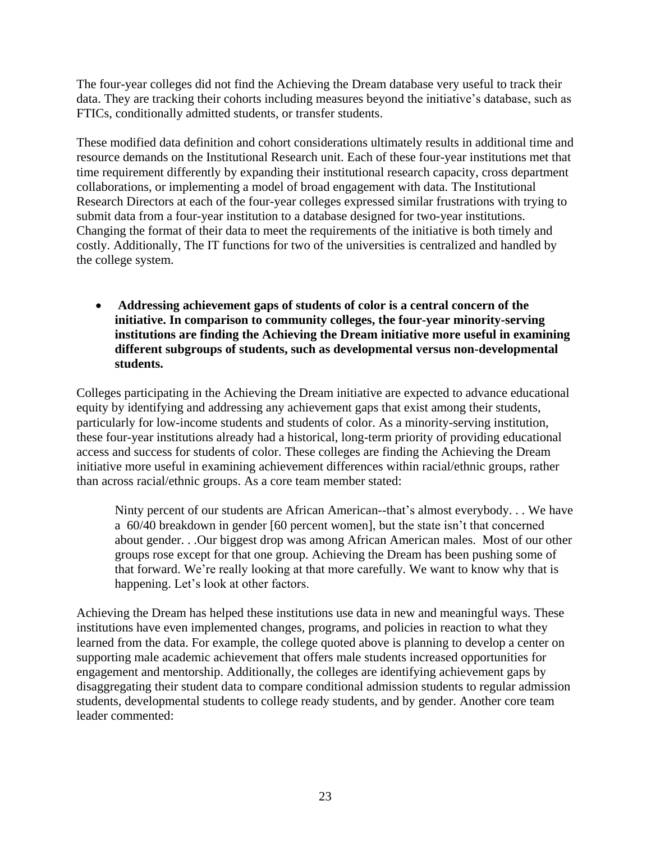The four-year colleges did not find the Achieving the Dream database very useful to track their data. They are tracking their cohorts including measures beyond the initiative's database, such as FTICs, conditionally admitted students, or transfer students.

These modified data definition and cohort considerations ultimately results in additional time and resource demands on the Institutional Research unit. Each of these four-year institutions met that time requirement differently by expanding their institutional research capacity, cross department collaborations, or implementing a model of broad engagement with data. The Institutional Research Directors at each of the four-year colleges expressed similar frustrations with trying to submit data from a four-year institution to a database designed for two-year institutions. Changing the format of their data to meet the requirements of the initiative is both timely and costly. Additionally, The IT functions for two of the universities is centralized and handled by the college system.

 **Addressing achievement gaps of students of color is a central concern of the initiative. In comparison to community colleges, the four-year minority-serving institutions are finding the Achieving the Dream initiative more useful in examining different subgroups of students, such as developmental versus non-developmental students.** 

Colleges participating in the Achieving the Dream initiative are expected to advance educational equity by identifying and addressing any achievement gaps that exist among their students, particularly for low-income students and students of color. As a minority-serving institution, these four-year institutions already had a historical, long-term priority of providing educational access and success for students of color. These colleges are finding the Achieving the Dream initiative more useful in examining achievement differences within racial/ethnic groups, rather than across racial/ethnic groups. As a core team member stated:

Ninty percent of our students are African American--that's almost everybody. . . We have a 60/40 breakdown in gender [60 percent women], but the state isn't that concerned about gender. . .Our biggest drop was among African American males. Most of our other groups rose except for that one group. Achieving the Dream has been pushing some of that forward. We're really looking at that more carefully. We want to know why that is happening. Let's look at other factors.

Achieving the Dream has helped these institutions use data in new and meaningful ways. These institutions have even implemented changes, programs, and policies in reaction to what they learned from the data. For example, the college quoted above is planning to develop a center on supporting male academic achievement that offers male students increased opportunities for engagement and mentorship. Additionally, the colleges are identifying achievement gaps by disaggregating their student data to compare conditional admission students to regular admission students, developmental students to college ready students, and by gender. Another core team leader commented: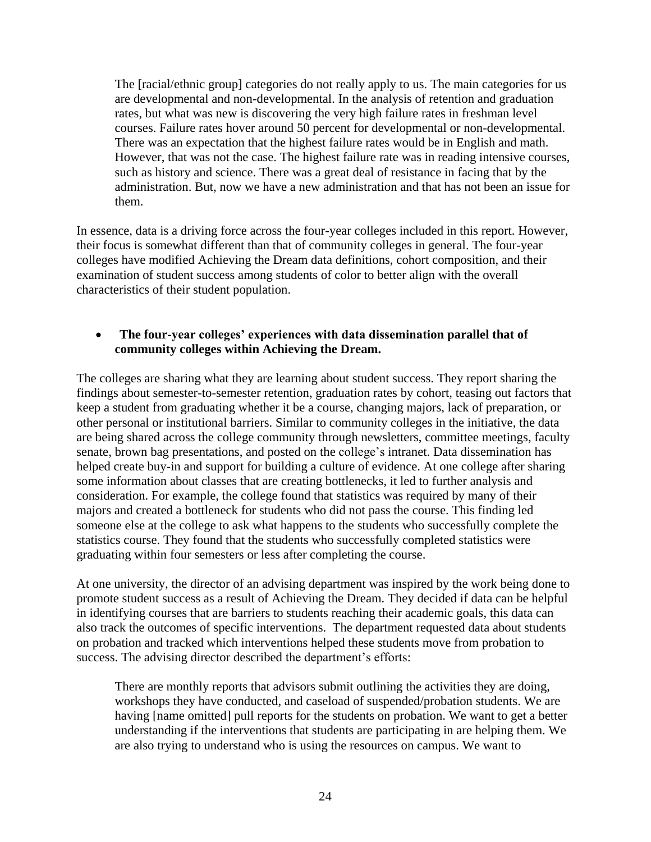The [racial/ethnic group] categories do not really apply to us. The main categories for us are developmental and non-developmental. In the analysis of retention and graduation rates, but what was new is discovering the very high failure rates in freshman level courses. Failure rates hover around 50 percent for developmental or non-developmental. There was an expectation that the highest failure rates would be in English and math. However, that was not the case. The highest failure rate was in reading intensive courses, such as history and science. There was a great deal of resistance in facing that by the administration. But, now we have a new administration and that has not been an issue for them.

In essence, data is a driving force across the four-year colleges included in this report. However, their focus is somewhat different than that of community colleges in general. The four-year colleges have modified Achieving the Dream data definitions, cohort composition, and their examination of student success among students of color to better align with the overall characteristics of their student population.

#### **The four-year colleges' experiences with data dissemination parallel that of community colleges within Achieving the Dream.**

The colleges are sharing what they are learning about student success. They report sharing the findings about semester-to-semester retention, graduation rates by cohort, teasing out factors that keep a student from graduating whether it be a course, changing majors, lack of preparation, or other personal or institutional barriers. Similar to community colleges in the initiative, the data are being shared across the college community through newsletters, committee meetings, faculty senate, brown bag presentations, and posted on the college's intranet. Data dissemination has helped create buy-in and support for building a culture of evidence. At one college after sharing some information about classes that are creating bottlenecks, it led to further analysis and consideration. For example, the college found that statistics was required by many of their majors and created a bottleneck for students who did not pass the course. This finding led someone else at the college to ask what happens to the students who successfully complete the statistics course. They found that the students who successfully completed statistics were graduating within four semesters or less after completing the course.

At one university, the director of an advising department was inspired by the work being done to promote student success as a result of Achieving the Dream. They decided if data can be helpful in identifying courses that are barriers to students reaching their academic goals, this data can also track the outcomes of specific interventions. The department requested data about students on probation and tracked which interventions helped these students move from probation to success. The advising director described the department's efforts:

There are monthly reports that advisors submit outlining the activities they are doing, workshops they have conducted, and caseload of suspended/probation students. We are having [name omitted] pull reports for the students on probation. We want to get a better understanding if the interventions that students are participating in are helping them. We are also trying to understand who is using the resources on campus. We want to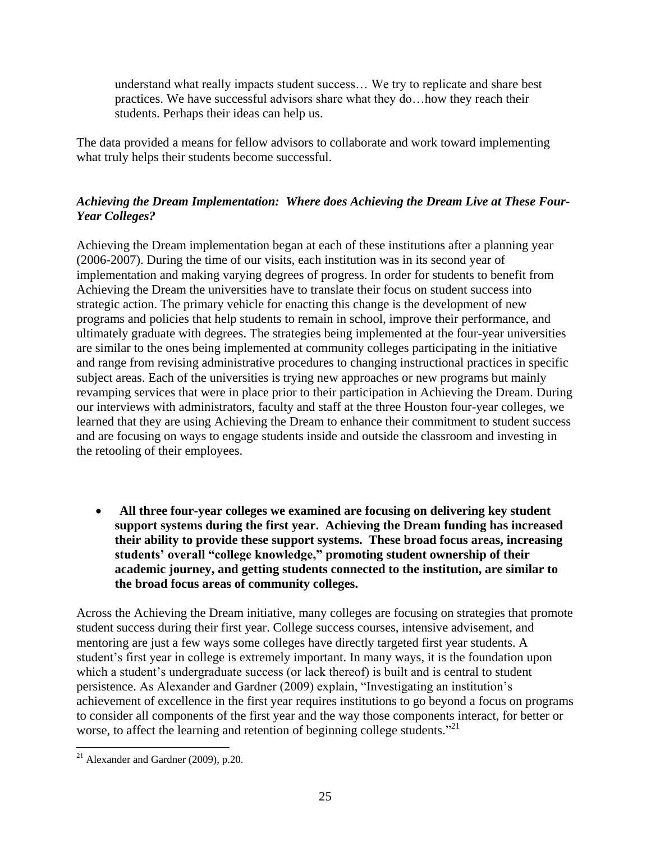understand what really impacts student success… We try to replicate and share best practices. We have successful advisors share what they do…how they reach their students. Perhaps their ideas can help us.

The data provided a means for fellow advisors to collaborate and work toward implementing what truly helps their students become successful.

# *Achieving the Dream Implementation: Where does Achieving the Dream Live at These Four-Year Colleges?*

Achieving the Dream implementation began at each of these institutions after a planning year (2006-2007). During the time of our visits, each institution was in its second year of implementation and making varying degrees of progress. In order for students to benefit from Achieving the Dream the universities have to translate their focus on student success into strategic action. The primary vehicle for enacting this change is the development of new programs and policies that help students to remain in school, improve their performance, and ultimately graduate with degrees. The strategies being implemented at the four-year universities are similar to the ones being implemented at community colleges participating in the initiative and range from revising administrative procedures to changing instructional practices in specific subject areas. Each of the universities is trying new approaches or new programs but mainly revamping services that were in place prior to their participation in Achieving the Dream. During our interviews with administrators, faculty and staff at the three Houston four-year colleges, we learned that they are using Achieving the Dream to enhance their commitment to student success and are focusing on ways to engage students inside and outside the classroom and investing in the retooling of their employees.

 **All three four-year colleges we examined are focusing on delivering key student support systems during the first year. Achieving the Dream funding has increased their ability to provide these support systems. These broad focus areas, increasing students' overall "college knowledge," promoting student ownership of their academic journey, and getting students connected to the institution, are similar to the broad focus areas of community colleges.**

Across the Achieving the Dream initiative, many colleges are focusing on strategies that promote student success during their first year. College success courses, intensive advisement, and mentoring are just a few ways some colleges have directly targeted first year students. A student's first year in college is extremely important. In many ways, it is the foundation upon which a student's undergraduate success (or lack thereof) is built and is central to student persistence. As Alexander and Gardner (2009) explain, "Investigating an institution's achievement of excellence in the first year requires institutions to go beyond a focus on programs to consider all components of the first year and the way those components interact, for better or worse, to affect the learning and retention of beginning college students."<sup>21</sup>

 $\overline{a}$  $21$  Alexander and Gardner (2009), p.20.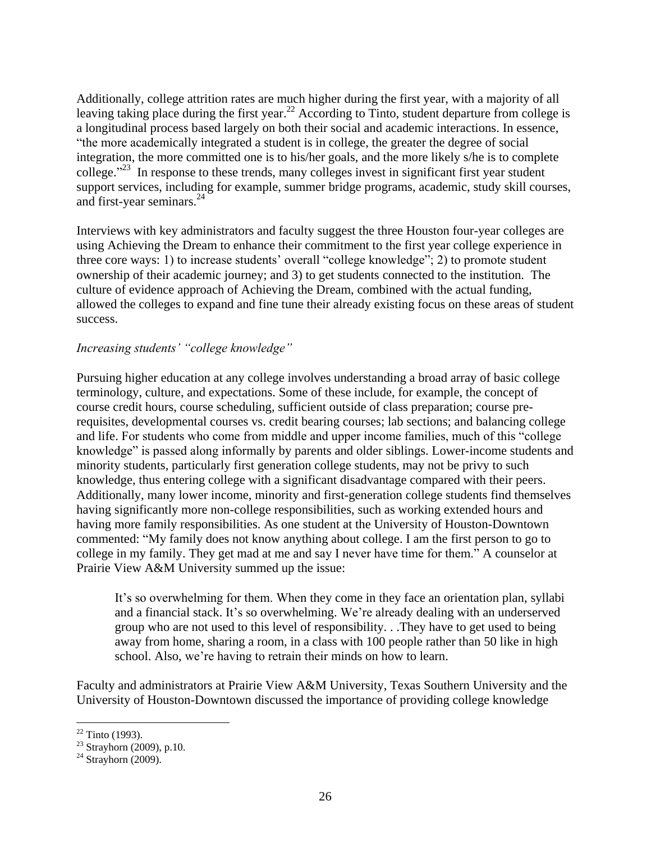Additionally, college attrition rates are much higher during the first year, with a majority of all leaving taking place during the first year.<sup>22</sup> According to Tinto, student departure from college is a longitudinal process based largely on both their social and academic interactions. In essence, "the more academically integrated a student is in college, the greater the degree of social integration, the more committed one is to his/her goals, and the more likely s/he is to complete college." <sup>23</sup> In response to these trends, many colleges invest in significant first year student support services, including for example, summer bridge programs, academic, study skill courses, and first-year seminars. 24

Interviews with key administrators and faculty suggest the three Houston four-year colleges are using Achieving the Dream to enhance their commitment to the first year college experience in three core ways: 1) to increase students' overall "college knowledge"; 2) to promote student ownership of their academic journey; and 3) to get students connected to the institution. The culture of evidence approach of Achieving the Dream, combined with the actual funding, allowed the colleges to expand and fine tune their already existing focus on these areas of student success.

## *Increasing students' "college knowledge"*

Pursuing higher education at any college involves understanding a broad array of basic college terminology, culture, and expectations. Some of these include, for example, the concept of course credit hours, course scheduling, sufficient outside of class preparation; course prerequisites, developmental courses vs. credit bearing courses; lab sections; and balancing college and life. For students who come from middle and upper income families, much of this "college knowledge" is passed along informally by parents and older siblings. Lower-income students and minority students, particularly first generation college students, may not be privy to such knowledge, thus entering college with a significant disadvantage compared with their peers. Additionally, many lower income, minority and first-generation college students find themselves having significantly more non-college responsibilities, such as working extended hours and having more family responsibilities. As one student at the University of Houston-Downtown commented: "My family does not know anything about college. I am the first person to go to college in my family. They get mad at me and say I never have time for them." A counselor at Prairie View A&M University summed up the issue:

It's so overwhelming for them. When they come in they face an orientation plan, syllabi and a financial stack. It's so overwhelming. We're already dealing with an underserved group who are not used to this level of responsibility. . .They have to get used to being away from home, sharing a room, in a class with 100 people rather than 50 like in high school. Also, we're having to retrain their minds on how to learn.

Faculty and administrators at Prairie View A&M University, Texas Southern University and the University of Houston-Downtown discussed the importance of providing college knowledge

 $\overline{a}$  $22$  Tinto (1993).

 $23$  Strayhorn (2009), p.10.

 $24$  Strayhorn (2009).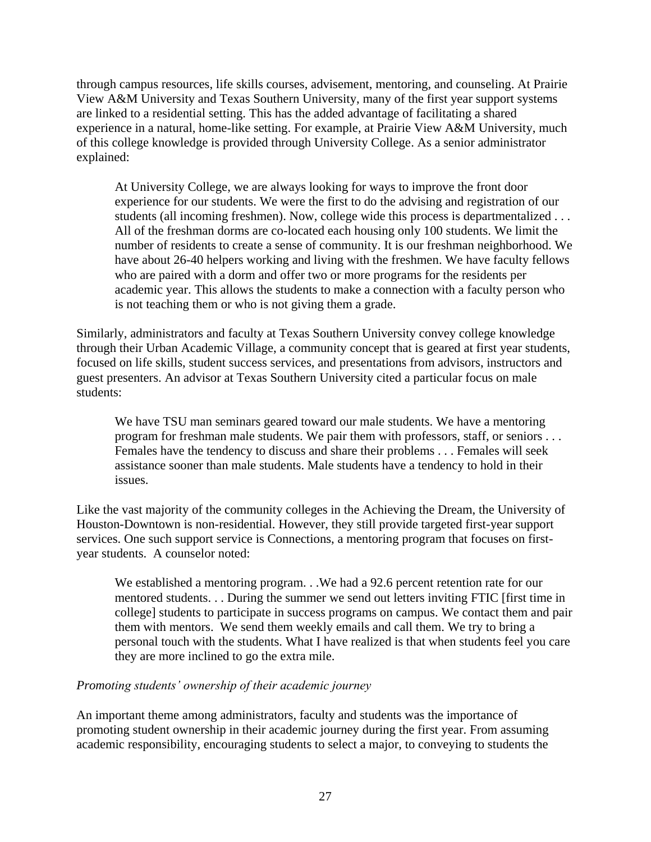through campus resources, life skills courses, advisement, mentoring, and counseling. At Prairie View A&M University and Texas Southern University, many of the first year support systems are linked to a residential setting. This has the added advantage of facilitating a shared experience in a natural, home-like setting. For example, at Prairie View A&M University, much of this college knowledge is provided through University College. As a senior administrator explained:

At University College, we are always looking for ways to improve the front door experience for our students. We were the first to do the advising and registration of our students (all incoming freshmen). Now, college wide this process is departmentalized . . . All of the freshman dorms are co-located each housing only 100 students. We limit the number of residents to create a sense of community. It is our freshman neighborhood. We have about 26-40 helpers working and living with the freshmen. We have faculty fellows who are paired with a dorm and offer two or more programs for the residents per academic year. This allows the students to make a connection with a faculty person who is not teaching them or who is not giving them a grade.

Similarly, administrators and faculty at Texas Southern University convey college knowledge through their Urban Academic Village, a community concept that is geared at first year students, focused on life skills, student success services, and presentations from advisors, instructors and guest presenters. An advisor at Texas Southern University cited a particular focus on male students:

We have TSU man seminars geared toward our male students. We have a mentoring program for freshman male students. We pair them with professors, staff, or seniors . . . Females have the tendency to discuss and share their problems . . . Females will seek assistance sooner than male students. Male students have a tendency to hold in their issues.

Like the vast majority of the community colleges in the Achieving the Dream, the University of Houston-Downtown is non-residential. However, they still provide targeted first-year support services. One such support service is Connections, a mentoring program that focuses on firstyear students. A counselor noted:

We established a mentoring program. . .We had a 92.6 percent retention rate for our mentored students. . . During the summer we send out letters inviting FTIC [first time in college] students to participate in success programs on campus. We contact them and pair them with mentors. We send them weekly emails and call them. We try to bring a personal touch with the students. What I have realized is that when students feel you care they are more inclined to go the extra mile.

#### *Promoting students' ownership of their academic journey*

An important theme among administrators, faculty and students was the importance of promoting student ownership in their academic journey during the first year. From assuming academic responsibility, encouraging students to select a major, to conveying to students the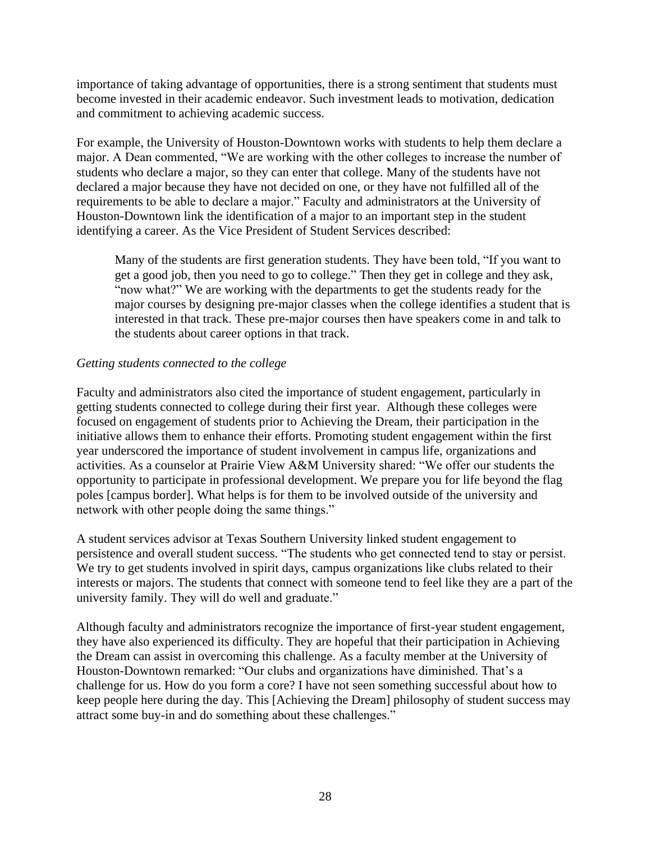importance of taking advantage of opportunities, there is a strong sentiment that students must become invested in their academic endeavor. Such investment leads to motivation, dedication and commitment to achieving academic success.

For example, the University of Houston-Downtown works with students to help them declare a major. A Dean commented, "We are working with the other colleges to increase the number of students who declare a major, so they can enter that college. Many of the students have not declared a major because they have not decided on one, or they have not fulfilled all of the requirements to be able to declare a major." Faculty and administrators at the University of Houston-Downtown link the identification of a major to an important step in the student identifying a career. As the Vice President of Student Services described:

Many of the students are first generation students. They have been told, "If you want to get a good job, then you need to go to college." Then they get in college and they ask, "now what?" We are working with the departments to get the students ready for the major courses by designing pre-major classes when the college identifies a student that is interested in that track. These pre-major courses then have speakers come in and talk to the students about career options in that track.

## *Getting students connected to the college*

Faculty and administrators also cited the importance of student engagement, particularly in getting students connected to college during their first year. Although these colleges were focused on engagement of students prior to Achieving the Dream, their participation in the initiative allows them to enhance their efforts. Promoting student engagement within the first year underscored the importance of student involvement in campus life, organizations and activities. As a counselor at Prairie View A&M University shared: "We offer our students the opportunity to participate in professional development. We prepare you for life beyond the flag poles [campus border]. What helps is for them to be involved outside of the university and network with other people doing the same things."

A student services advisor at Texas Southern University linked student engagement to persistence and overall student success. "The students who get connected tend to stay or persist. We try to get students involved in spirit days, campus organizations like clubs related to their interests or majors. The students that connect with someone tend to feel like they are a part of the university family. They will do well and graduate."

Although faculty and administrators recognize the importance of first-year student engagement, they have also experienced its difficulty. They are hopeful that their participation in Achieving the Dream can assist in overcoming this challenge. As a faculty member at the University of Houston-Downtown remarked: "Our clubs and organizations have diminished. That's a challenge for us. How do you form a core? I have not seen something successful about how to keep people here during the day. This [Achieving the Dream] philosophy of student success may attract some buy-in and do something about these challenges."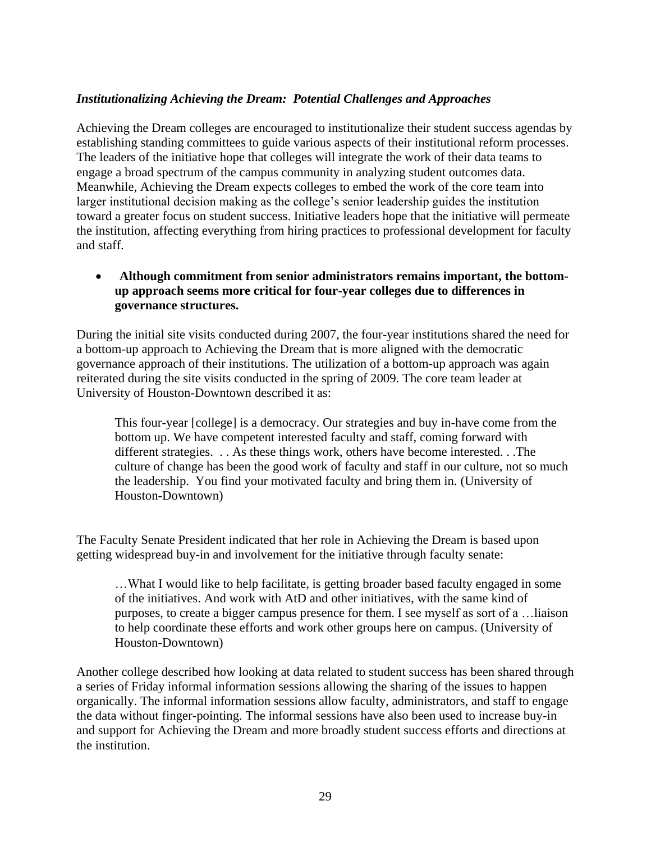#### *Institutionalizing Achieving the Dream: Potential Challenges and Approaches*

Achieving the Dream colleges are encouraged to institutionalize their student success agendas by establishing standing committees to guide various aspects of their institutional reform processes. The leaders of the initiative hope that colleges will integrate the work of their data teams to engage a broad spectrum of the campus community in analyzing student outcomes data. Meanwhile, Achieving the Dream expects colleges to embed the work of the core team into larger institutional decision making as the college's senior leadership guides the institution toward a greater focus on student success. Initiative leaders hope that the initiative will permeate the institution, affecting everything from hiring practices to professional development for faculty and staff.

## **Although commitment from senior administrators remains important, the bottomup approach seems more critical for four-year colleges due to differences in governance structures.**

During the initial site visits conducted during 2007, the four-year institutions shared the need for a bottom-up approach to Achieving the Dream that is more aligned with the democratic governance approach of their institutions. The utilization of a bottom-up approach was again reiterated during the site visits conducted in the spring of 2009. The core team leader at University of Houston-Downtown described it as:

This four-year [college] is a democracy. Our strategies and buy in-have come from the bottom up. We have competent interested faculty and staff, coming forward with different strategies. . . As these things work, others have become interested. . .The culture of change has been the good work of faculty and staff in our culture, not so much the leadership. You find your motivated faculty and bring them in. (University of Houston-Downtown)

The Faculty Senate President indicated that her role in Achieving the Dream is based upon getting widespread buy-in and involvement for the initiative through faculty senate:

…What I would like to help facilitate, is getting broader based faculty engaged in some of the initiatives. And work with AtD and other initiatives, with the same kind of purposes, to create a bigger campus presence for them. I see myself as sort of a …liaison to help coordinate these efforts and work other groups here on campus. (University of Houston-Downtown)

Another college described how looking at data related to student success has been shared through a series of Friday informal information sessions allowing the sharing of the issues to happen organically. The informal information sessions allow faculty, administrators, and staff to engage the data without finger-pointing. The informal sessions have also been used to increase buy-in and support for Achieving the Dream and more broadly student success efforts and directions at the institution.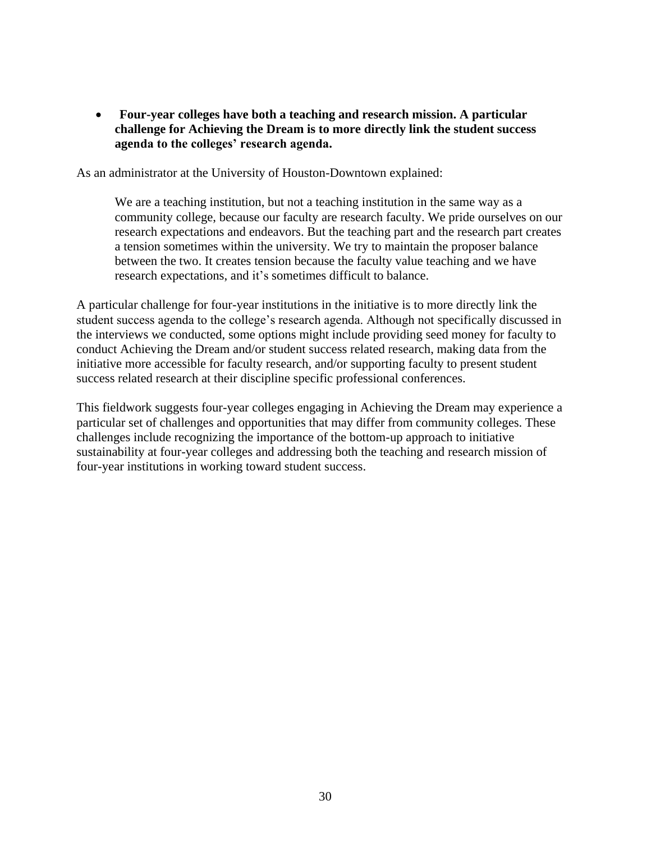**Four-year colleges have both a teaching and research mission. A particular challenge for Achieving the Dream is to more directly link the student success agenda to the colleges' research agenda.** 

As an administrator at the University of Houston-Downtown explained:

We are a teaching institution, but not a teaching institution in the same way as a community college, because our faculty are research faculty. We pride ourselves on our research expectations and endeavors. But the teaching part and the research part creates a tension sometimes within the university. We try to maintain the proposer balance between the two. It creates tension because the faculty value teaching and we have research expectations, and it's sometimes difficult to balance.

A particular challenge for four-year institutions in the initiative is to more directly link the student success agenda to the college's research agenda. Although not specifically discussed in the interviews we conducted, some options might include providing seed money for faculty to conduct Achieving the Dream and/or student success related research, making data from the initiative more accessible for faculty research, and/or supporting faculty to present student success related research at their discipline specific professional conferences.

This fieldwork suggests four-year colleges engaging in Achieving the Dream may experience a particular set of challenges and opportunities that may differ from community colleges. These challenges include recognizing the importance of the bottom-up approach to initiative sustainability at four-year colleges and addressing both the teaching and research mission of four-year institutions in working toward student success.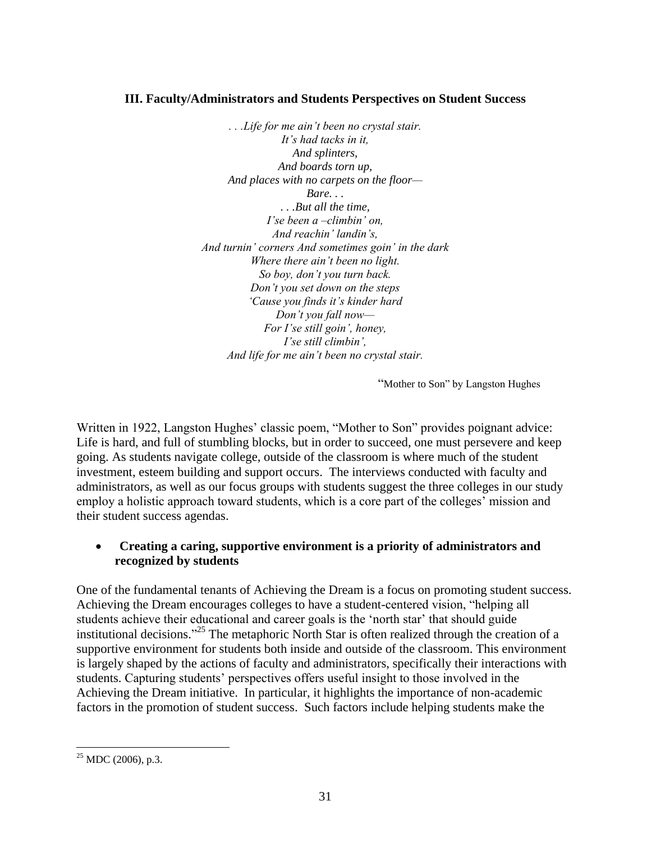#### **III. Faculty/Administrators and Students Perspectives on Student Success**

*. . .Life for me ain't been no crystal stair. It's had tacks in it, And splinters, And boards torn up, And places with no carpets on the floor— Bare. . . . . .But all the time, I'se been a –climbin' on, And reachin' landin's, And turnin' corners And sometimes goin' in the dark Where there ain't been no light. So boy, don't you turn back. Don't you set down on the steps 'Cause you finds it's kinder hard Don't you fall now— For I'se still goin', honey, I'se still climbin', And life for me ain't been no crystal stair.*

"Mother to Son" by Langston Hughes

Written in 1922, Langston Hughes' classic poem, "Mother to Son" provides poignant advice: Life is hard, and full of stumbling blocks, but in order to succeed, one must persevere and keep going. As students navigate college, outside of the classroom is where much of the student investment, esteem building and support occurs. The interviews conducted with faculty and administrators, as well as our focus groups with students suggest the three colleges in our study employ a holistic approach toward students, which is a core part of the colleges' mission and their student success agendas.

## **Creating a caring, supportive environment is a priority of administrators and recognized by students**

One of the fundamental tenants of Achieving the Dream is a focus on promoting student success. Achieving the Dream encourages colleges to have a student-centered vision, "helping all students achieve their educational and career goals is the 'north star' that should guide institutional decisions."<sup>25</sup> The metaphoric North Star is often realized through the creation of a supportive environment for students both inside and outside of the classroom. This environment is largely shaped by the actions of faculty and administrators, specifically their interactions with students. Capturing students' perspectives offers useful insight to those involved in the Achieving the Dream initiative. In particular, it highlights the importance of non-academic factors in the promotion of student success. Such factors include helping students make the

 $\overline{a}$  $^{25}$  MDC (2006), p.3.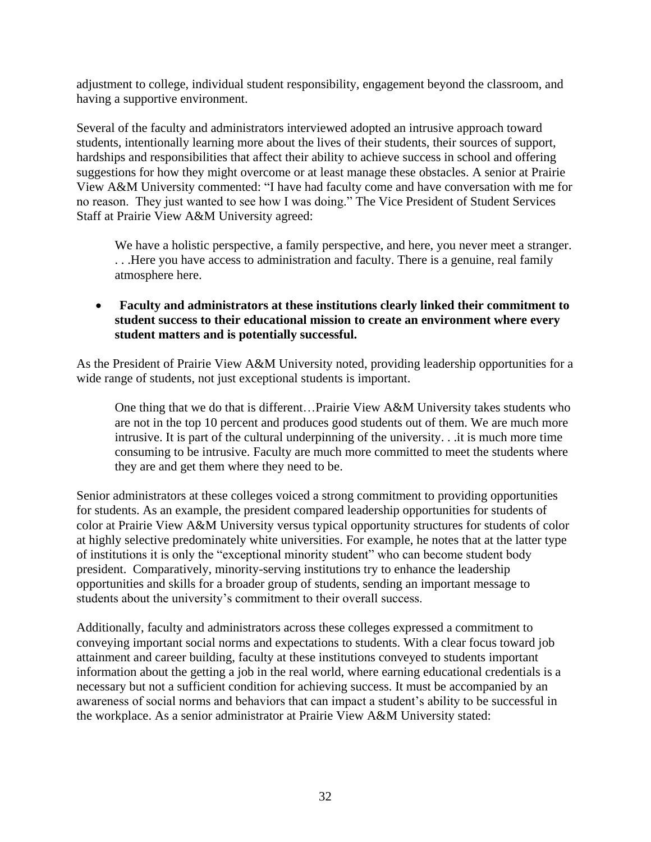adjustment to college, individual student responsibility, engagement beyond the classroom, and having a supportive environment.

Several of the faculty and administrators interviewed adopted an intrusive approach toward students, intentionally learning more about the lives of their students, their sources of support, hardships and responsibilities that affect their ability to achieve success in school and offering suggestions for how they might overcome or at least manage these obstacles. A senior at Prairie View A&M University commented: "I have had faculty come and have conversation with me for no reason. They just wanted to see how I was doing." The Vice President of Student Services Staff at Prairie View A&M University agreed:

We have a holistic perspective, a family perspective, and here, you never meet a stranger. . . .Here you have access to administration and faculty. There is a genuine, real family atmosphere here.

 **Faculty and administrators at these institutions clearly linked their commitment to student success to their educational mission to create an environment where every student matters and is potentially successful.** 

As the President of Prairie View A&M University noted, providing leadership opportunities for a wide range of students, not just exceptional students is important.

One thing that we do that is different…Prairie View A&M University takes students who are not in the top 10 percent and produces good students out of them. We are much more intrusive. It is part of the cultural underpinning of the university. . .it is much more time consuming to be intrusive. Faculty are much more committed to meet the students where they are and get them where they need to be.

Senior administrators at these colleges voiced a strong commitment to providing opportunities for students. As an example, the president compared leadership opportunities for students of color at Prairie View A&M University versus typical opportunity structures for students of color at highly selective predominately white universities. For example, he notes that at the latter type of institutions it is only the "exceptional minority student" who can become student body president. Comparatively, minority-serving institutions try to enhance the leadership opportunities and skills for a broader group of students, sending an important message to students about the university's commitment to their overall success.

Additionally, faculty and administrators across these colleges expressed a commitment to conveying important social norms and expectations to students. With a clear focus toward job attainment and career building, faculty at these institutions conveyed to students important information about the getting a job in the real world, where earning educational credentials is a necessary but not a sufficient condition for achieving success. It must be accompanied by an awareness of social norms and behaviors that can impact a student's ability to be successful in the workplace. As a senior administrator at Prairie View A&M University stated: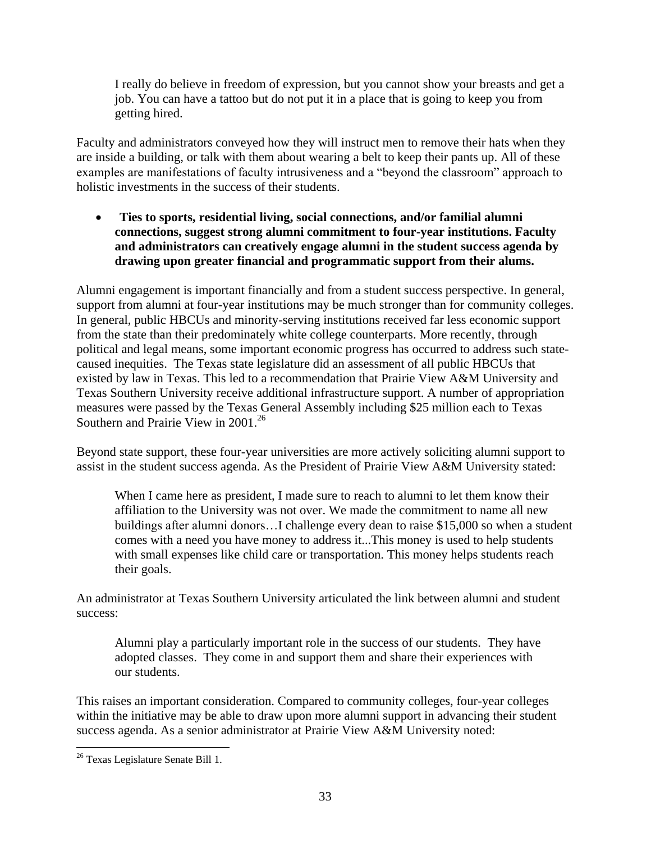I really do believe in freedom of expression, but you cannot show your breasts and get a job. You can have a tattoo but do not put it in a place that is going to keep you from getting hired.

Faculty and administrators conveyed how they will instruct men to remove their hats when they are inside a building, or talk with them about wearing a belt to keep their pants up. All of these examples are manifestations of faculty intrusiveness and a "beyond the classroom" approach to holistic investments in the success of their students.

 **Ties to sports, residential living, social connections, and/or familial alumni connections, suggest strong alumni commitment to four-year institutions. Faculty and administrators can creatively engage alumni in the student success agenda by drawing upon greater financial and programmatic support from their alums.**

Alumni engagement is important financially and from a student success perspective. In general, support from alumni at four-year institutions may be much stronger than for community colleges. In general, public HBCUs and minority-serving institutions received far less economic support from the state than their predominately white college counterparts. More recently, through political and legal means, some important economic progress has occurred to address such statecaused inequities. The Texas state legislature did an assessment of all public HBCUs that existed by law in Texas. This led to a recommendation that Prairie View A&M University and Texas Southern University receive additional infrastructure support. A number of appropriation measures were passed by the Texas General Assembly including \$25 million each to Texas Southern and Prairie View in 2001.<sup>26</sup>

Beyond state support, these four-year universities are more actively soliciting alumni support to assist in the student success agenda. As the President of Prairie View A&M University stated:

When I came here as president, I made sure to reach to alumni to let them know their affiliation to the University was not over. We made the commitment to name all new buildings after alumni donors…I challenge every dean to raise \$15,000 so when a student comes with a need you have money to address it...This money is used to help students with small expenses like child care or transportation. This money helps students reach their goals.

An administrator at Texas Southern University articulated the link between alumni and student success:

Alumni play a particularly important role in the success of our students. They have adopted classes. They come in and support them and share their experiences with our students.

This raises an important consideration. Compared to community colleges, four-year colleges within the initiative may be able to draw upon more alumni support in advancing their student success agenda. As a senior administrator at Prairie View A&M University noted:

 $\overline{a}$ <sup>26</sup> Texas Legislature Senate Bill 1.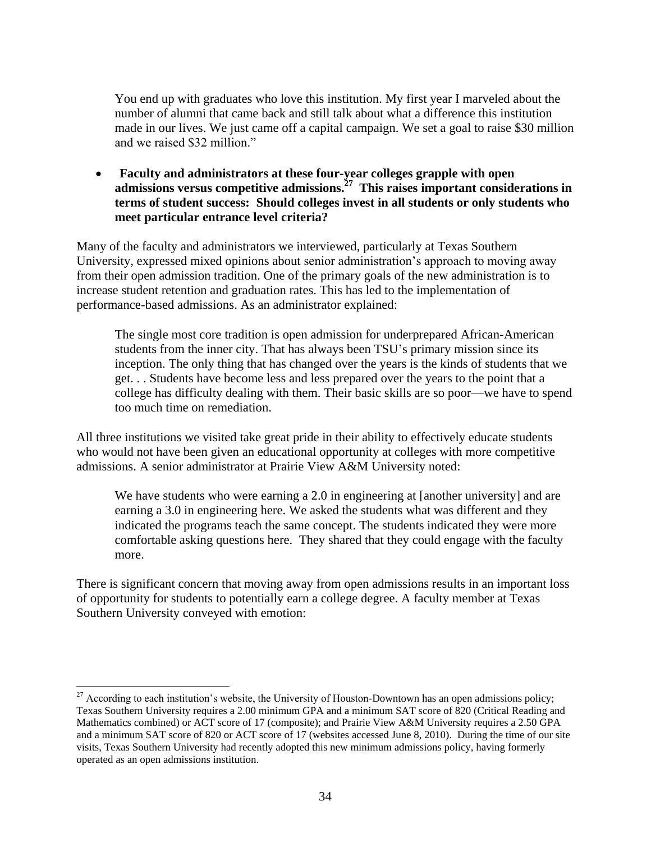You end up with graduates who love this institution. My first year I marveled about the number of alumni that came back and still talk about what a difference this institution made in our lives. We just came off a capital campaign. We set a goal to raise \$30 million and we raised \$32 million."

 **Faculty and administrators at these four-year colleges grapple with open admissions versus competitive admissions. 27 This raises important considerations in terms of student success: Should colleges invest in all students or only students who meet particular entrance level criteria?**

Many of the faculty and administrators we interviewed, particularly at Texas Southern University, expressed mixed opinions about senior administration's approach to moving away from their open admission tradition. One of the primary goals of the new administration is to increase student retention and graduation rates. This has led to the implementation of performance-based admissions. As an administrator explained:

The single most core tradition is open admission for underprepared African-American students from the inner city. That has always been TSU's primary mission since its inception. The only thing that has changed over the years is the kinds of students that we get. . . Students have become less and less prepared over the years to the point that a college has difficulty dealing with them. Their basic skills are so poor—we have to spend too much time on remediation.

All three institutions we visited take great pride in their ability to effectively educate students who would not have been given an educational opportunity at colleges with more competitive admissions. A senior administrator at Prairie View A&M University noted:

We have students who were earning a 2.0 in engineering at [another university] and are earning a 3.0 in engineering here. We asked the students what was different and they indicated the programs teach the same concept. The students indicated they were more comfortable asking questions here. They shared that they could engage with the faculty more.

There is significant concern that moving away from open admissions results in an important loss of opportunity for students to potentially earn a college degree. A faculty member at Texas Southern University conveyed with emotion:

 $\overline{a}$ 

 $^{27}$  According to each institution's website, the University of Houston-Downtown has an open admissions policy; Texas Southern University requires a 2.00 minimum GPA and a minimum SAT score of 820 (Critical Reading and Mathematics combined) or ACT score of 17 (composite); and Prairie View A&M University requires a 2.50 GPA and a minimum SAT score of 820 or ACT score of 17 (websites accessed June 8, 2010). During the time of our site visits, Texas Southern University had recently adopted this new minimum admissions policy, having formerly operated as an open admissions institution.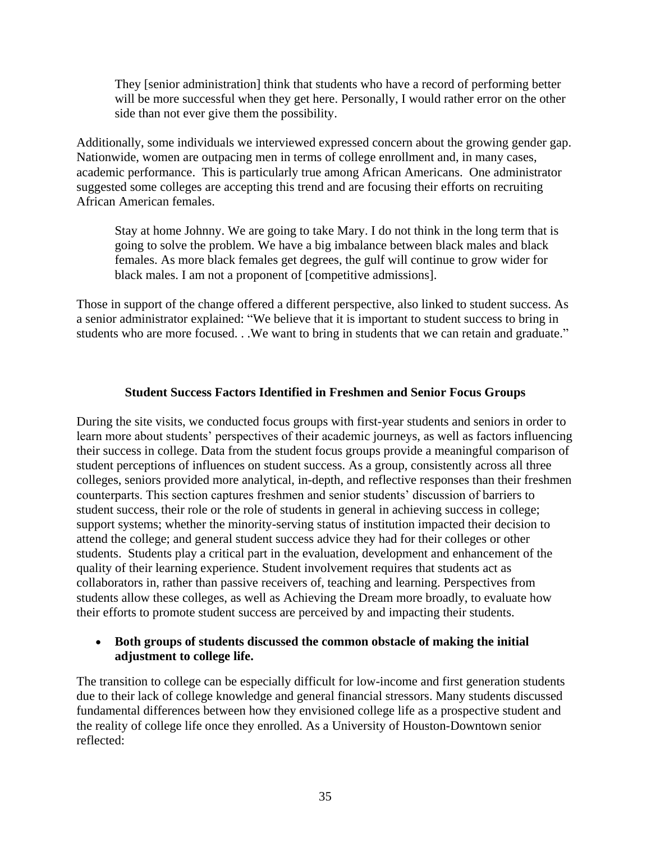They [senior administration] think that students who have a record of performing better will be more successful when they get here. Personally, I would rather error on the other side than not ever give them the possibility.

Additionally, some individuals we interviewed expressed concern about the growing gender gap. Nationwide, women are outpacing men in terms of college enrollment and, in many cases, academic performance. This is particularly true among African Americans. One administrator suggested some colleges are accepting this trend and are focusing their efforts on recruiting African American females.

Stay at home Johnny. We are going to take Mary. I do not think in the long term that is going to solve the problem. We have a big imbalance between black males and black females. As more black females get degrees, the gulf will continue to grow wider for black males. I am not a proponent of [competitive admissions].

Those in support of the change offered a different perspective, also linked to student success. As a senior administrator explained: "We believe that it is important to student success to bring in students who are more focused. . .We want to bring in students that we can retain and graduate."

#### **Student Success Factors Identified in Freshmen and Senior Focus Groups**

During the site visits, we conducted focus groups with first-year students and seniors in order to learn more about students' perspectives of their academic journeys, as well as factors influencing their success in college. Data from the student focus groups provide a meaningful comparison of student perceptions of influences on student success. As a group, consistently across all three colleges, seniors provided more analytical, in-depth, and reflective responses than their freshmen counterparts. This section captures freshmen and senior students' discussion of barriers to student success, their role or the role of students in general in achieving success in college; support systems; whether the minority-serving status of institution impacted their decision to attend the college; and general student success advice they had for their colleges or other students. Students play a critical part in the evaluation, development and enhancement of the quality of their learning experience. Student involvement requires that students act as collaborators in, rather than passive receivers of, teaching and learning. Perspectives from students allow these colleges, as well as Achieving the Dream more broadly, to evaluate how their efforts to promote student success are perceived by and impacting their students.

#### **Both groups of students discussed the common obstacle of making the initial adjustment to college life.**

The transition to college can be especially difficult for low-income and first generation students due to their lack of college knowledge and general financial stressors. Many students discussed fundamental differences between how they envisioned college life as a prospective student and the reality of college life once they enrolled. As a University of Houston-Downtown senior reflected: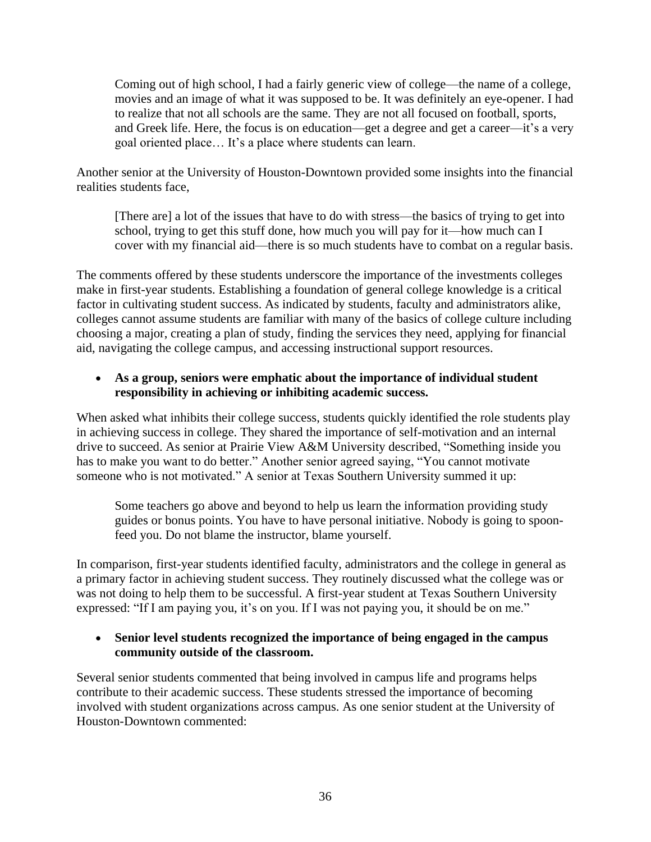Coming out of high school, I had a fairly generic view of college—the name of a college, movies and an image of what it was supposed to be. It was definitely an eye-opener. I had to realize that not all schools are the same. They are not all focused on football, sports, and Greek life. Here, the focus is on education—get a degree and get a career—it's a very goal oriented place… It's a place where students can learn.

Another senior at the University of Houston-Downtown provided some insights into the financial realities students face,

[There are] a lot of the issues that have to do with stress—the basics of trying to get into school, trying to get this stuff done, how much you will pay for it—how much can I cover with my financial aid—there is so much students have to combat on a regular basis.

The comments offered by these students underscore the importance of the investments colleges make in first-year students. Establishing a foundation of general college knowledge is a critical factor in cultivating student success. As indicated by students, faculty and administrators alike, colleges cannot assume students are familiar with many of the basics of college culture including choosing a major, creating a plan of study, finding the services they need, applying for financial aid, navigating the college campus, and accessing instructional support resources.

## **As a group, seniors were emphatic about the importance of individual student responsibility in achieving or inhibiting academic success.**

When asked what inhibits their college success, students quickly identified the role students play in achieving success in college. They shared the importance of self-motivation and an internal drive to succeed. As senior at Prairie View A&M University described, "Something inside you has to make you want to do better." Another senior agreed saying, "You cannot motivate someone who is not motivated." A senior at Texas Southern University summed it up:

Some teachers go above and beyond to help us learn the information providing study guides or bonus points. You have to have personal initiative. Nobody is going to spoonfeed you. Do not blame the instructor, blame yourself.

In comparison, first-year students identified faculty, administrators and the college in general as a primary factor in achieving student success. They routinely discussed what the college was or was not doing to help them to be successful. A first-year student at Texas Southern University expressed: "If I am paying you, it's on you. If I was not paying you, it should be on me."

## **Senior level students recognized the importance of being engaged in the campus community outside of the classroom.**

Several senior students commented that being involved in campus life and programs helps contribute to their academic success. These students stressed the importance of becoming involved with student organizations across campus. As one senior student at the University of Houston-Downtown commented: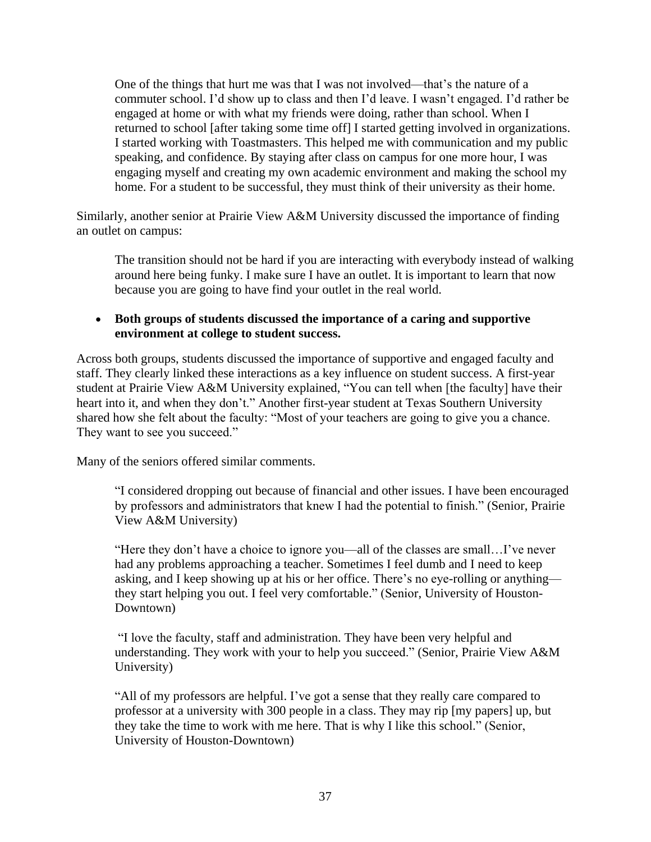One of the things that hurt me was that I was not involved—that's the nature of a commuter school. I'd show up to class and then I'd leave. I wasn't engaged. I'd rather be engaged at home or with what my friends were doing, rather than school. When I returned to school [after taking some time off] I started getting involved in organizations. I started working with Toastmasters. This helped me with communication and my public speaking, and confidence. By staying after class on campus for one more hour, I was engaging myself and creating my own academic environment and making the school my home. For a student to be successful, they must think of their university as their home.

Similarly, another senior at Prairie View A&M University discussed the importance of finding an outlet on campus:

The transition should not be hard if you are interacting with everybody instead of walking around here being funky. I make sure I have an outlet. It is important to learn that now because you are going to have find your outlet in the real world.

#### **Both groups of students discussed the importance of a caring and supportive environment at college to student success.**

Across both groups, students discussed the importance of supportive and engaged faculty and staff. They clearly linked these interactions as a key influence on student success. A first-year student at Prairie View A&M University explained, "You can tell when [the faculty] have their heart into it, and when they don't." Another first-year student at Texas Southern University shared how she felt about the faculty: "Most of your teachers are going to give you a chance. They want to see you succeed."

Many of the seniors offered similar comments.

"I considered dropping out because of financial and other issues. I have been encouraged by professors and administrators that knew I had the potential to finish." (Senior, Prairie View A&M University)

"Here they don't have a choice to ignore you—all of the classes are small…I've never had any problems approaching a teacher. Sometimes I feel dumb and I need to keep asking, and I keep showing up at his or her office. There's no eye-rolling or anything they start helping you out. I feel very comfortable." (Senior, University of Houston-Downtown)

"I love the faculty, staff and administration. They have been very helpful and understanding. They work with your to help you succeed." (Senior, Prairie View A&M University)

"All of my professors are helpful. I've got a sense that they really care compared to professor at a university with 300 people in a class. They may rip [my papers] up, but they take the time to work with me here. That is why I like this school." (Senior, University of Houston-Downtown)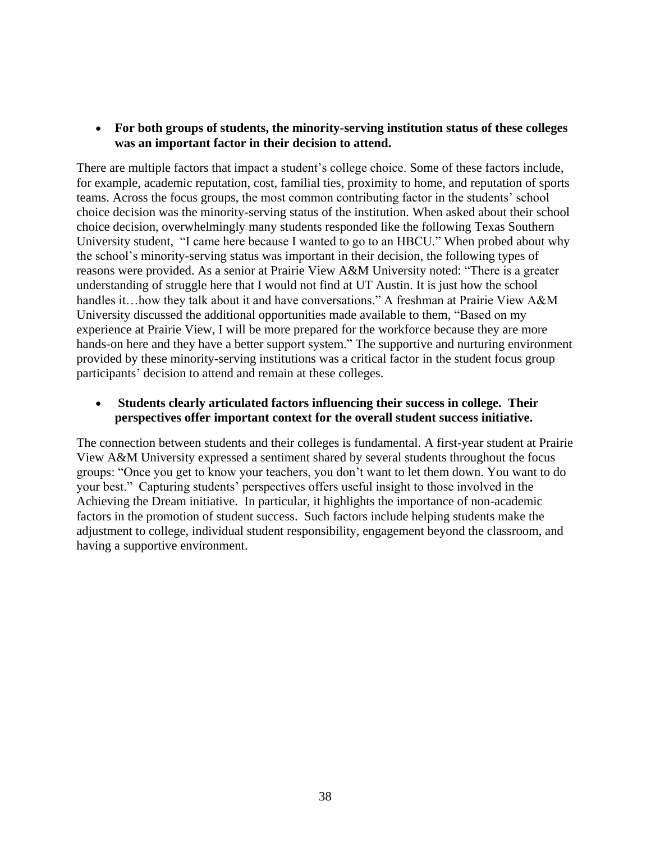**For both groups of students, the minority-serving institution status of these colleges was an important factor in their decision to attend.**

There are multiple factors that impact a student's college choice. Some of these factors include, for example, academic reputation, cost, familial ties, proximity to home, and reputation of sports teams. Across the focus groups, the most common contributing factor in the students' school choice decision was the minority-serving status of the institution. When asked about their school choice decision, overwhelmingly many students responded like the following Texas Southern University student, "I came here because I wanted to go to an HBCU." When probed about why the school's minority-serving status was important in their decision, the following types of reasons were provided. As a senior at Prairie View A&M University noted: "There is a greater understanding of struggle here that I would not find at UT Austin. It is just how the school handles it…how they talk about it and have conversations." A freshman at Prairie View A&M University discussed the additional opportunities made available to them, "Based on my experience at Prairie View, I will be more prepared for the workforce because they are more hands-on here and they have a better support system." The supportive and nurturing environment provided by these minority-serving institutions was a critical factor in the student focus group participants' decision to attend and remain at these colleges.

 **Students clearly articulated factors influencing their success in college. Their perspectives offer important context for the overall student success initiative.** 

The connection between students and their colleges is fundamental. A first-year student at Prairie View A&M University expressed a sentiment shared by several students throughout the focus groups: "Once you get to know your teachers, you don't want to let them down. You want to do your best." Capturing students' perspectives offers useful insight to those involved in the Achieving the Dream initiative. In particular, it highlights the importance of non-academic factors in the promotion of student success. Such factors include helping students make the adjustment to college, individual student responsibility, engagement beyond the classroom, and having a supportive environment.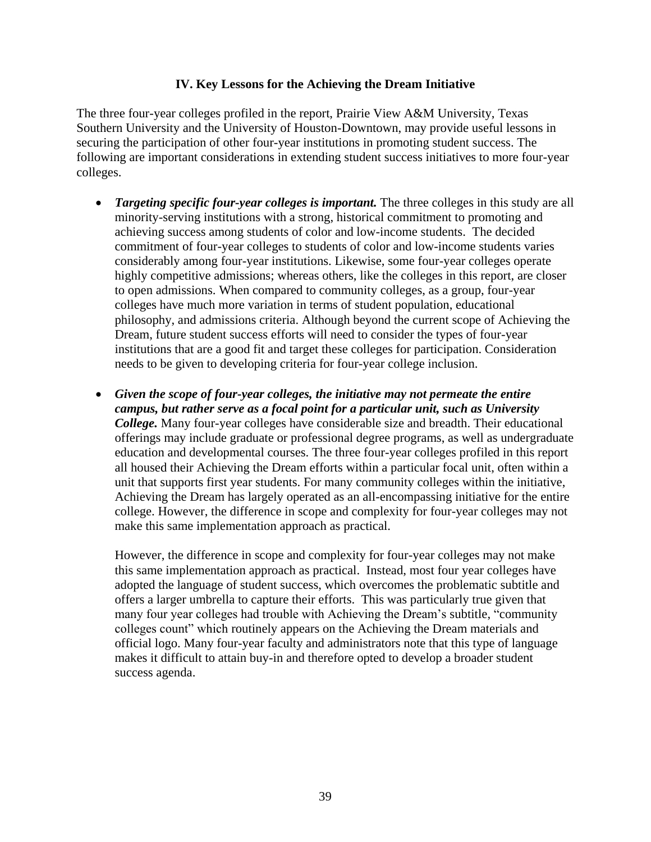#### **IV. Key Lessons for the Achieving the Dream Initiative**

The three four-year colleges profiled in the report, Prairie View A&M University, Texas Southern University and the University of Houston-Downtown, may provide useful lessons in securing the participation of other four-year institutions in promoting student success. The following are important considerations in extending student success initiatives to more four-year colleges.

- *Targeting specific four-year colleges is important.* The three colleges in this study are all minority-serving institutions with a strong, historical commitment to promoting and achieving success among students of color and low-income students. The decided commitment of four-year colleges to students of color and low-income students varies considerably among four-year institutions. Likewise, some four-year colleges operate highly competitive admissions; whereas others, like the colleges in this report, are closer to open admissions. When compared to community colleges, as a group, four-year colleges have much more variation in terms of student population, educational philosophy, and admissions criteria. Although beyond the current scope of Achieving the Dream, future student success efforts will need to consider the types of four-year institutions that are a good fit and target these colleges for participation. Consideration needs to be given to developing criteria for four-year college inclusion.
- *Given the scope of four-year colleges, the initiative may not permeate the entire campus, but rather serve as a focal point for a particular unit, such as University College.* Many four-year colleges have considerable size and breadth. Their educational offerings may include graduate or professional degree programs, as well as undergraduate education and developmental courses. The three four-year colleges profiled in this report all housed their Achieving the Dream efforts within a particular focal unit, often within a unit that supports first year students. For many community colleges within the initiative, Achieving the Dream has largely operated as an all-encompassing initiative for the entire college. However, the difference in scope and complexity for four-year colleges may not make this same implementation approach as practical.

However, the difference in scope and complexity for four-year colleges may not make this same implementation approach as practical. Instead, most four year colleges have adopted the language of student success, which overcomes the problematic subtitle and offers a larger umbrella to capture their efforts. This was particularly true given that many four year colleges had trouble with Achieving the Dream's subtitle, "community colleges count" which routinely appears on the Achieving the Dream materials and official logo. Many four-year faculty and administrators note that this type of language makes it difficult to attain buy-in and therefore opted to develop a broader student success agenda.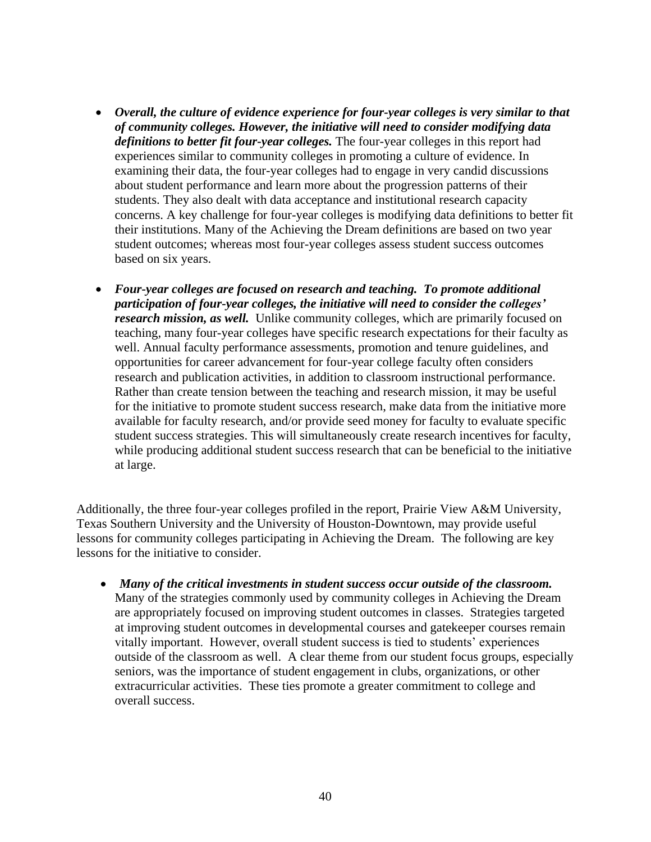- *Overall, the culture of evidence experience for four-year colleges is very similar to that of community colleges. However, the initiative will need to consider modifying data definitions to better fit four-year colleges.* The four-year colleges in this report had experiences similar to community colleges in promoting a culture of evidence. In examining their data, the four-year colleges had to engage in very candid discussions about student performance and learn more about the progression patterns of their students. They also dealt with data acceptance and institutional research capacity concerns. A key challenge for four-year colleges is modifying data definitions to better fit their institutions. Many of the Achieving the Dream definitions are based on two year student outcomes; whereas most four-year colleges assess student success outcomes based on six years.
- *Four-year colleges are focused on research and teaching. To promote additional participation of four-year colleges, the initiative will need to consider the colleges' research mission, as well.* Unlike community colleges, which are primarily focused on teaching, many four-year colleges have specific research expectations for their faculty as well. Annual faculty performance assessments, promotion and tenure guidelines, and opportunities for career advancement for four-year college faculty often considers research and publication activities, in addition to classroom instructional performance. Rather than create tension between the teaching and research mission, it may be useful for the initiative to promote student success research, make data from the initiative more available for faculty research, and/or provide seed money for faculty to evaluate specific student success strategies. This will simultaneously create research incentives for faculty, while producing additional student success research that can be beneficial to the initiative at large.

Additionally, the three four-year colleges profiled in the report, Prairie View A&M University, Texas Southern University and the University of Houston-Downtown, may provide useful lessons for community colleges participating in Achieving the Dream. The following are key lessons for the initiative to consider.

 *Many of the critical investments in student success occur outside of the classroom.* Many of the strategies commonly used by community colleges in Achieving the Dream are appropriately focused on improving student outcomes in classes. Strategies targeted at improving student outcomes in developmental courses and gatekeeper courses remain vitally important. However, overall student success is tied to students' experiences outside of the classroom as well. A clear theme from our student focus groups, especially seniors, was the importance of student engagement in clubs, organizations, or other extracurricular activities. These ties promote a greater commitment to college and overall success.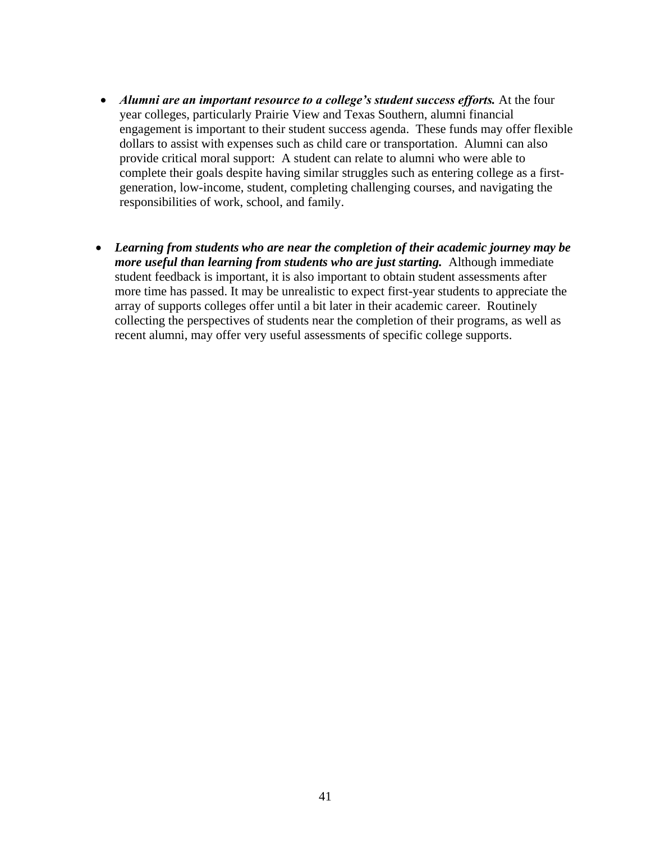- *Alumni are an important resource to a college's student success efforts.* At the four year colleges, particularly Prairie View and Texas Southern, alumni financial engagement is important to their student success agenda. These funds may offer flexible dollars to assist with expenses such as child care or transportation. Alumni can also provide critical moral support: A student can relate to alumni who were able to complete their goals despite having similar struggles such as entering college as a firstgeneration, low-income, student, completing challenging courses, and navigating the responsibilities of work, school, and family.
- *Learning from students who are near the completion of their academic journey may be more useful than learning from students who are just starting.* Although immediate student feedback is important, it is also important to obtain student assessments after more time has passed. It may be unrealistic to expect first-year students to appreciate the array of supports colleges offer until a bit later in their academic career. Routinely collecting the perspectives of students near the completion of their programs, as well as recent alumni, may offer very useful assessments of specific college supports.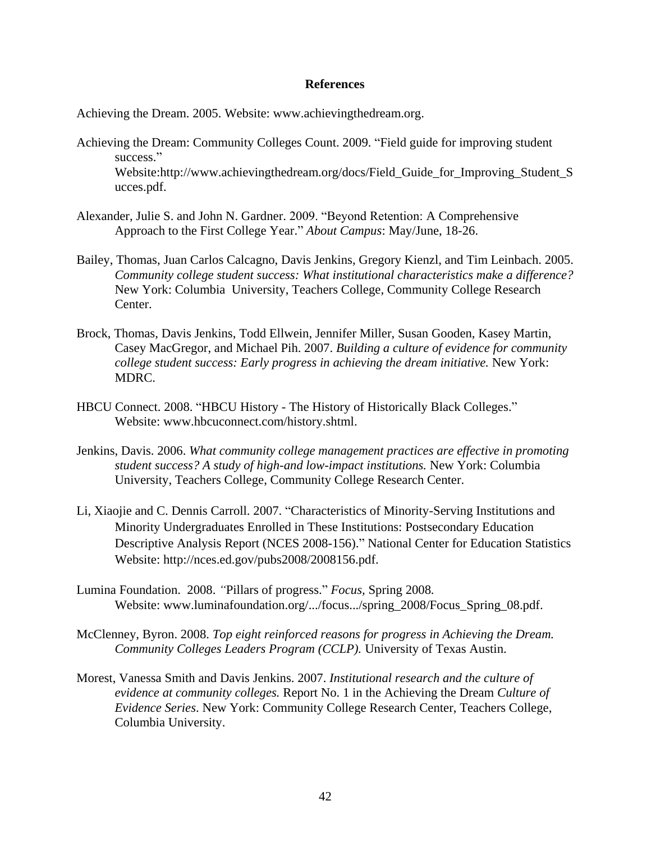#### **References**

Achieving the Dream. 2005. Website: www.achievingthedream.org.

- Achieving the Dream: Community Colleges Count. 2009. "Field guide for improving student success." Website:http://www.achievingthedream.org/docs/Field\_Guide\_for\_Improving\_Student\_S ucces.pdf.
- Alexander, Julie S. and John N. Gardner. 2009. "Beyond Retention: A Comprehensive Approach to the First College Year." *About Campus*: May/June, 18-26.
- Bailey, Thomas, Juan Carlos Calcagno, Davis Jenkins, Gregory Kienzl, and Tim Leinbach. 2005. *Community college student success: What institutional characteristics make a difference?* New York: Columbia University, Teachers College, Community College Research Center.
- Brock, Thomas, Davis Jenkins, Todd Ellwein, Jennifer Miller, Susan Gooden, Kasey Martin, Casey MacGregor, and Michael Pih. 2007. *Building a culture of evidence for community college student success: Early progress in achieving the dream initiative.* New York: MDRC.
- HBCU Connect. 2008. "HBCU History The History of Historically Black Colleges." Website: www.hbcuconnect.com/history.shtml.
- Jenkins, Davis. 2006. *What community college management practices are effective in promoting student success? A study of high-and low-impact institutions.* New York: Columbia University, Teachers College, Community College Research Center.
- Li, Xiaojie and C. Dennis Carroll. 2007. "Characteristics of Minority-Serving Institutions and Minority Undergraduates Enrolled in These Institutions: Postsecondary Education Descriptive Analysis Report (NCES 2008-156)." National Center for Education Statistics Website: http://nces.ed.gov/pubs2008/2008156.pdf.
- Lumina Foundation. 2008. *"*Pillars of progress." *Focus,* Spring 2008*.*  Website: www.luminafoundation.org/.../focus.../spring\_2008/Focus\_Spring\_08.pdf.
- McClenney, Byron. 2008. *Top eight reinforced reasons for progress in Achieving the Dream. Community Colleges Leaders Program (CCLP).* University of Texas Austin.
- Morest, Vanessa Smith and Davis Jenkins. 2007. *Institutional research and the culture of evidence at community colleges.* Report No. 1 in the Achieving the Dream *Culture of Evidence Series*. New York: Community College Research Center, Teachers College, Columbia University.